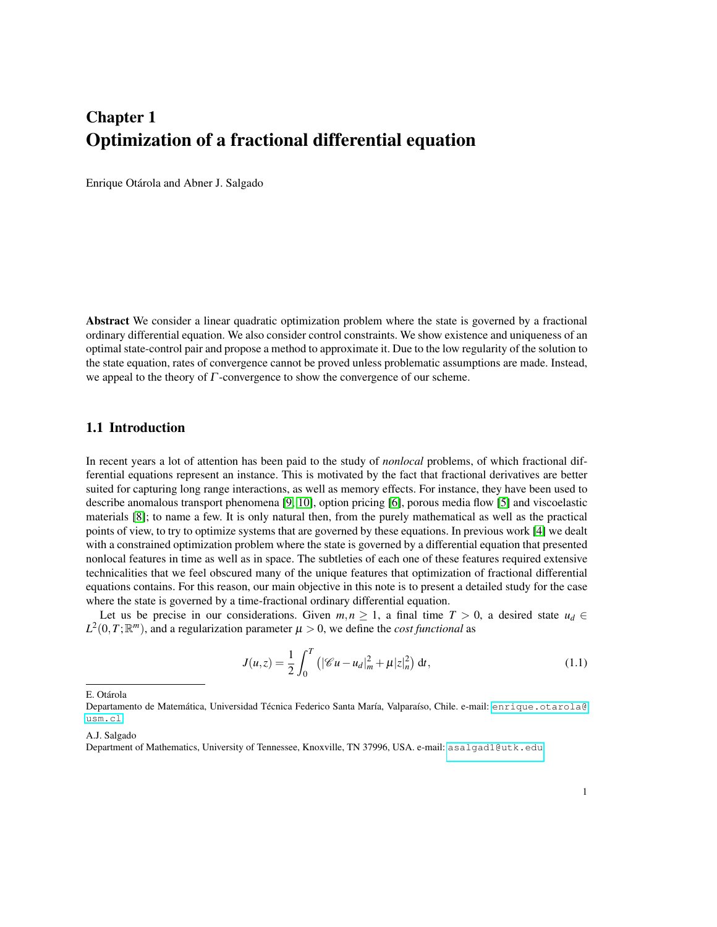# Chapter 1 Optimization of a fractional differential equation

Enrique Otárola and Abner J. Salgado

Abstract We consider a linear quadratic optimization problem where the state is governed by a fractional ordinary differential equation. We also consider control constraints. We show existence and uniqueness of an optimal state-control pair and propose a method to approximate it. Due to the low regularity of the solution to the state equation, rates of convergence cannot be proved unless problematic assumptions are made. Instead, we appeal to the theory of  $\Gamma$ -convergence to show the convergence of our scheme.

# 1.1 Introduction

In recent years a lot of attention has been paid to the study of *nonlocal* problems, of which fractional differential equations represent an instance. This is motivated by the fact that fractional derivatives are better suited for capturing long range interactions, as well as memory effects. For instance, they have been used to describe anomalous transport phenomena [\[9,](#page-18-0) [10\]](#page-18-1), option pricing [\[6\]](#page-18-2), porous media flow [\[5\]](#page-18-3) and viscoelastic materials [\[8\]](#page-18-4); to name a few. It is only natural then, from the purely mathematical as well as the practical points of view, to try to optimize systems that are governed by these equations. In previous work [\[4\]](#page-18-5) we dealt with a constrained optimization problem where the state is governed by a differential equation that presented nonlocal features in time as well as in space. The subtleties of each one of these features required extensive technicalities that we feel obscured many of the unique features that optimization of fractional differential equations contains. For this reason, our main objective in this note is to present a detailed study for the case where the state is governed by a time-fractional ordinary differential equation.

Let us be precise in our considerations. Given  $m, n \ge 1$ , a final time  $T > 0$ , a desired state  $u_d \in$  $L^2(0,T;\mathbb{R}^m)$ , and a regularization parameter  $\mu > 0$ , we define the *cost functional* as

$$
J(u,z) = \frac{1}{2} \int_0^T \left( |\mathcal{C}u - u_d|_m^2 + \mu |z|_n^2 \right) dt,
$$
 (1.1)

E. Otárola

A.J. Salgado

Departamento de Matemática, Universidad Técnica Federico Santa María, Valparaíso, Chile. e-mail: [enrique.otarola@](enrique.otarola@usm.cl) [usm.cl](enrique.otarola@usm.cl)

Department of Mathematics, University of Tennessee, Knoxville, TN 37996, USA. e-mail: <asalgad1@utk.edu>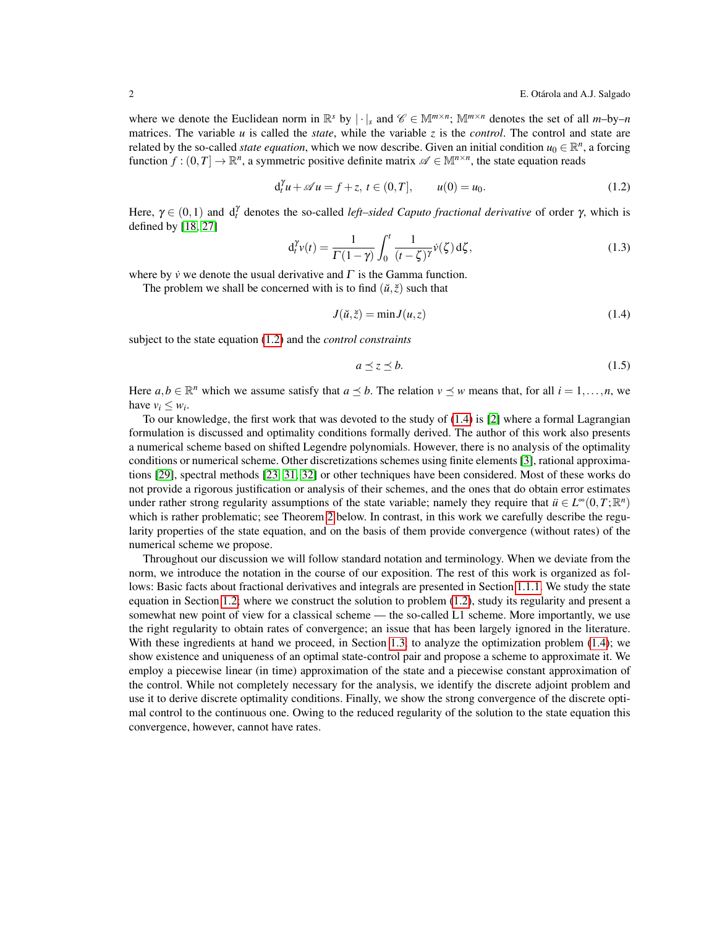where we denote the Euclidean norm in  $\mathbb{R}^s$  by  $|\cdot|_s$  and  $\mathscr{C} \in \mathbb{M}^{m \times n}$ ;  $\mathbb{M}^{m \times n}$  denotes the set of all *m*-by-*n* matrices. The variable *u* is called the *state*, while the variable *z* is the *control*. The control and state are related by the so-called *state equation*, which we now describe. Given an initial condition  $u_0 \in \mathbb{R}^n$ , a forcing function  $f:(0,T] \to \mathbb{R}^n$ , a symmetric positive definite matrix  $\mathscr{A} \in \mathbb{M}^{n \times n}$ , the state equation reads

<span id="page-1-0"></span>
$$
d_t^{\gamma} u + \mathscr{A} u = f + z, \ t \in (0, T], \qquad u(0) = u_0. \tag{1.2}
$$

Here,  $\gamma \in (0,1)$  and  $d_t^{\gamma}$  denotes the so-called *left–sided Caputo fractional derivative* of order  $\gamma$ , which is defined by [\[18,](#page-18-6) [27\]](#page-18-7)

<span id="page-1-2"></span>
$$
d_t^{\gamma} v(t) = \frac{1}{\Gamma(1-\gamma)} \int_0^t \frac{1}{(t-\zeta)^{\gamma}} \dot{v}(\zeta) d\zeta,
$$
\n(1.3)

where by  $\dot{v}$  we denote the usual derivative and  $\Gamma$  is the Gamma function.

The problem we shall be concerned with is to find  $(\tilde{u}, \tilde{z})$  such that

<span id="page-1-1"></span>
$$
J(\breve{u}, \breve{z}) = \min J(u, z) \tag{1.4}
$$

subject to the state equation [\(1.2\)](#page-1-0) and the *control constraints*

<span id="page-1-3"></span>
$$
a \preceq z \preceq b. \tag{1.5}
$$

Here  $a, b \in \mathbb{R}^n$  which we assume satisfy that  $a \leq b$ . The relation  $v \leq w$  means that, for all  $i = 1, \ldots, n$ , we have  $v_i \leq w_i$ .

To our knowledge, the first work that was devoted to the study of [\(1.4\)](#page-1-1) is [\[2\]](#page-18-8) where a formal Lagrangian formulation is discussed and optimality conditions formally derived. The author of this work also presents a numerical scheme based on shifted Legendre polynomials. However, there is no analysis of the optimality conditions or numerical scheme. Other discretizations schemes using finite elements [\[3\]](#page-18-9), rational approximations [\[29\]](#page-19-0), spectral methods [\[23,](#page-18-10) [31,](#page-19-1) [32\]](#page-19-2) or other techniques have been considered. Most of these works do not provide a rigorous justification or analysis of their schemes, and the ones that do obtain error estimates under rather strong regularity assumptions of the state variable; namely they require that  $\ddot{u} \in L^{\infty}(0,T;\mathbb{R}^n)$ which is rather problematic; see Theorem [2](#page-4-0) below. In contrast, in this work we carefully describe the regularity properties of the state equation, and on the basis of them provide convergence (without rates) of the numerical scheme we propose.

Throughout our discussion we will follow standard notation and terminology. When we deviate from the norm, we introduce the notation in the course of our exposition. The rest of this work is organized as follows: Basic facts about fractional derivatives and integrals are presented in Section [1.1.1.](#page-2-0) We study the state equation in Section [1.2;](#page-2-1) where we construct the solution to problem [\(1.2\)](#page-1-0), study its regularity and present a somewhat new point of view for a classical scheme — the so-called L1 scheme. More importantly, we use the right regularity to obtain rates of convergence; an issue that has been largely ignored in the literature. With these ingredients at hand we proceed, in Section [1.3,](#page-10-0) to analyze the optimization problem  $(1.4)$ ; we show existence and uniqueness of an optimal state-control pair and propose a scheme to approximate it. We employ a piecewise linear (in time) approximation of the state and a piecewise constant approximation of the control. While not completely necessary for the analysis, we identify the discrete adjoint problem and use it to derive discrete optimality conditions. Finally, we show the strong convergence of the discrete optimal control to the continuous one. Owing to the reduced regularity of the solution to the state equation this convergence, however, cannot have rates.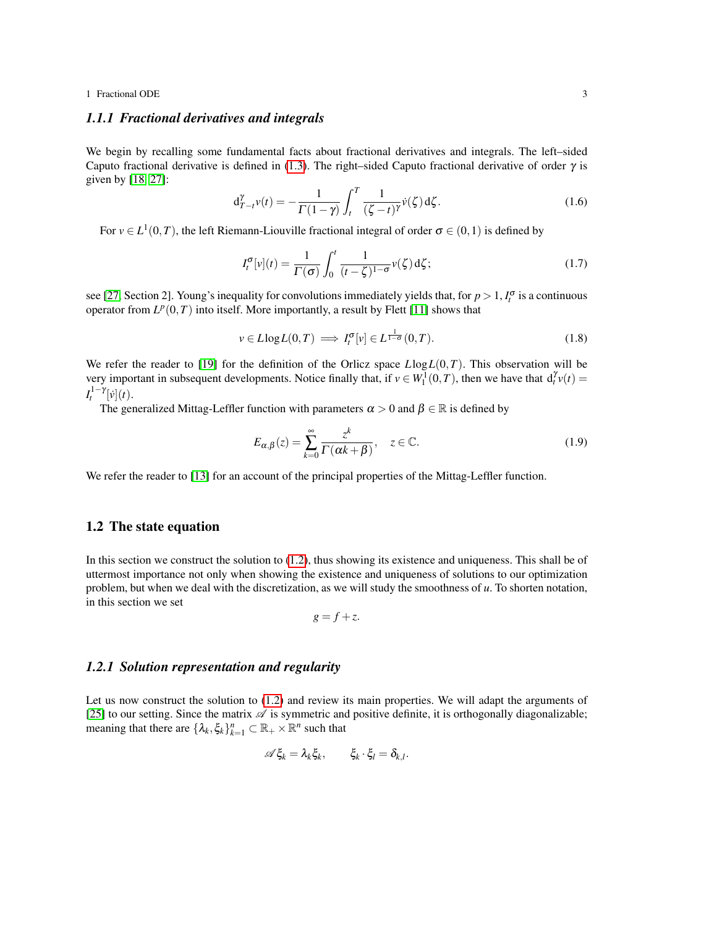## <span id="page-2-0"></span>*1.1.1 Fractional derivatives and integrals*

We begin by recalling some fundamental facts about fractional derivatives and integrals. The left–sided Caputo fractional derivative is defined in [\(1.3\)](#page-1-2). The right–sided Caputo fractional derivative of order  $\gamma$  is given by [\[18,](#page-18-6) [27\]](#page-18-7):

<span id="page-2-3"></span>
$$
\mathrm{d}_{T-t}^{\gamma}v(t) = -\frac{1}{\Gamma(1-\gamma)} \int_{t}^{T} \frac{1}{(\zeta-t)^{\gamma}} \dot{v}(\zeta) \,\mathrm{d}\zeta. \tag{1.6}
$$

For  $v \in L^1(0,T)$ , the left Riemann-Liouville fractional integral of order  $\sigma \in (0,1)$  is defined by

$$
I_t^{\sigma}[v](t) = \frac{1}{\Gamma(\sigma)} \int_0^t \frac{1}{(t-\zeta)^{1-\sigma}} v(\zeta) d\zeta;
$$
 (1.7)

see [\[27,](#page-18-7) Section 2]. Young's inequality for convolutions immediately yields that, for  $p > 1$ ,  $I_t^{\sigma}$  is a continuous operator from  $L^p(0,T)$  into itself. More importantly, a result by Flett [\[11\]](#page-18-11) shows that

$$
v \in L \log L(0, T) \implies I_t^{\sigma}[v] \in L^{\frac{1}{1-\sigma}}(0, T). \tag{1.8}
$$

We refer the reader to [\[19\]](#page-18-12) for the definition of the Orlicz space  $L \log L(0,T)$ . This observation will be very important in subsequent developments. Notice finally that, if  $v \in W_1^1(0,T)$ , then we have that  $d_t^{\gamma}v(t) =$  $I_t^{1-\gamma}[\dot{v}](t)$ .

The generalized Mittag-Leffler function with parameters  $\alpha > 0$  and  $\beta \in \mathbb{R}$  is defined by

$$
E_{\alpha,\beta}(z) = \sum_{k=0}^{\infty} \frac{z^k}{\Gamma(\alpha k + \beta)}, \quad z \in \mathbb{C}.
$$
 (1.9)

We refer the reader to [\[13\]](#page-18-13) for an account of the principal properties of the Mittag-Leffler function.

## <span id="page-2-1"></span>1.2 The state equation

In this section we construct the solution to [\(1.2\)](#page-1-0), thus showing its existence and uniqueness. This shall be of uttermost importance not only when showing the existence and uniqueness of solutions to our optimization problem, but when we deal with the discretization, as we will study the smoothness of *u*. To shorten notation, in this section we set

$$
g = f + z.
$$

## <span id="page-2-2"></span>*1.2.1 Solution representation and regularity*

Let us now construct the solution to [\(1.2\)](#page-1-0) and review its main properties. We will adapt the arguments of [\[25\]](#page-18-14) to our setting. Since the matrix  $\mathscr A$  is symmetric and positive definite, it is orthogonally diagonalizable; meaning that there are  $\{\lambda_k, \xi_k\}_{k=1}^n \subset \mathbb{R}_+ \times \mathbb{R}^n$  such that

$$
\mathscr{A}\xi_k=\lambda_k\xi_k,\qquad \xi_k\cdot\xi_l=\delta_{k,l}.
$$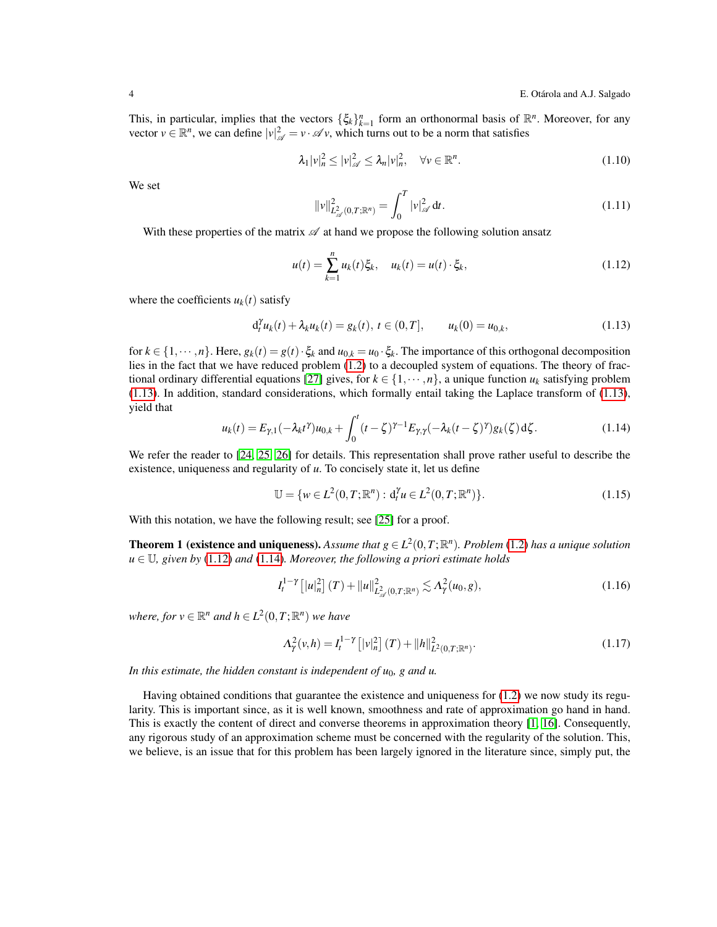This, in particular, implies that the vectors  $\{\xi_k\}_{k=1}^n$  form an orthonormal basis of  $\mathbb{R}^n$ . Moreover, for any vector  $v \in \mathbb{R}^n$ , we can define  $|v|^2_{\mathscr{A}} = v \cdot \mathscr{A}v$ , which turns out to be a norm that satisfies

<span id="page-3-4"></span>
$$
\lambda_1 |v|^2_n \le |v|^2_{\mathscr{A}} \le \lambda_n |v|^2_n, \quad \forall v \in \mathbb{R}^n. \tag{1.10}
$$

We set

<span id="page-3-5"></span>
$$
||v||_{L_{\mathscr{A}}^2(0,T;\mathbb{R}^n)}^2 = \int_0^T |v|_{\mathscr{A}}^2 dt.
$$
 (1.11)

With these properties of the matrix  $\mathscr A$  at hand we propose the following solution ansatz

<span id="page-3-1"></span>
$$
u(t) = \sum_{k=1}^{n} u_k(t)\xi_k, \quad u_k(t) = u(t) \cdot \xi_k,
$$
\n(1.12)

where the coefficients  $u_k(t)$  satisfy

<span id="page-3-0"></span>
$$
d_t^{\gamma} u_k(t) + \lambda_k u_k(t) = g_k(t), \ t \in (0, T], \qquad u_k(0) = u_{0,k}, \tag{1.13}
$$

for  $k \in \{1, \dots, n\}$ . Here,  $g_k(t) = g(t) \cdot \xi_k$  and  $u_{0,k} = u_0 \cdot \xi_k$ . The importance of this orthogonal decomposition lies in the fact that we have reduced problem [\(1.2\)](#page-1-0) to a decoupled system of equations. The theory of frac-tional ordinary differential equations [\[27\]](#page-18-7) gives, for  $k \in \{1, \dots, n\}$ , a unique function  $u_k$  satisfying problem [\(1.13\)](#page-3-0). In addition, standard considerations, which formally entail taking the Laplace transform of [\(1.13\)](#page-3-0), yield that

<span id="page-3-2"></span>
$$
u_k(t) = E_{\gamma,1}(-\lambda_k t^{\gamma})u_{0,k} + \int_0^t (t-\zeta)^{\gamma-1} E_{\gamma,\gamma}(-\lambda_k (t-\zeta)^{\gamma})g_k(\zeta) d\zeta.
$$
 (1.14)

We refer the reader to [\[24,](#page-18-15) [25,](#page-18-14) [26\]](#page-18-16) for details. This representation shall prove rather useful to describe the existence, uniqueness and regularity of *u*. To concisely state it, let us define

$$
\mathbb{U} = \{ w \in L^{2}(0, T; \mathbb{R}^{n}) : d_{t}^{\gamma} u \in L^{2}(0, T; \mathbb{R}^{n}) \}.
$$
\n(1.15)

With this notation, we have the following result; see [\[25\]](#page-18-14) for a proof.

<span id="page-3-6"></span>**Theorem 1 (existence and uniqueness).** Assume that  $g \in L^2(0,T;\mathbb{R}^n)$ . Problem [\(1.2\)](#page-1-0) has a unique solution *u* ∈ U*, given by* [\(1.12\)](#page-3-1) *and* [\(1.14\)](#page-3-2)*. Moreover, the following a priori estimate holds*

<span id="page-3-7"></span>
$$
I_t^{1-\gamma} \left[ |u_n|^2 \right] (T) + \|u\|_{L^2(\Omega, T; \mathbb{R}^n)}^2 \lesssim \Lambda_\gamma^2(u_0, g), \tag{1.16}
$$

 $where, for v \in \mathbb{R}^n$  and  $h \in L^2(0,T;\mathbb{R}^n)$  we have

<span id="page-3-3"></span>
$$
\Lambda_Y^2(\nu, h) = I_t^{1-\gamma} \left[ |\nu|_n^2 \right] (T) + ||h||_{L^2(0, T; \mathbb{R}^n)}^2.
$$
 (1.17)

*In this estimate, the hidden constant is independent of u<sub>0</sub>, g and u.* 

Having obtained conditions that guarantee the existence and uniqueness for [\(1.2\)](#page-1-0) we now study its regularity. This is important since, as it is well known, smoothness and rate of approximation go hand in hand. This is exactly the content of direct and converse theorems in approximation theory [\[1,](#page-18-17) [16\]](#page-18-18). Consequently, any rigorous study of an approximation scheme must be concerned with the regularity of the solution. This, we believe, is an issue that for this problem has been largely ignored in the literature since, simply put, the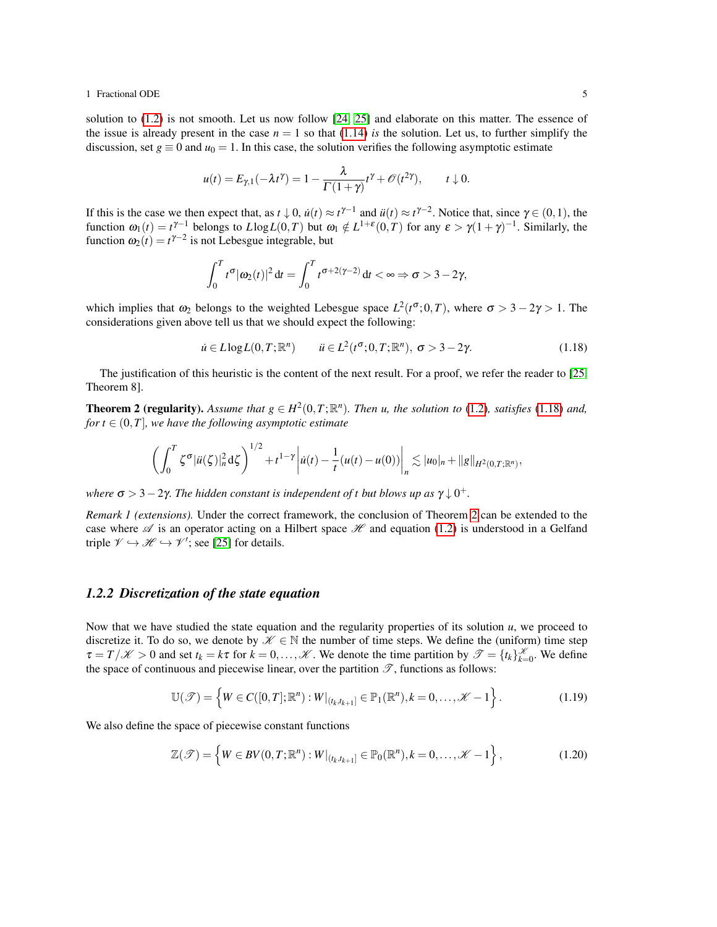solution to [\(1.2\)](#page-1-0) is not smooth. Let us now follow [\[24,](#page-18-15) [25\]](#page-18-14) and elaborate on this matter. The essence of the issue is already present in the case  $n = 1$  so that [\(1.14\)](#page-3-2) *is* the solution. Let us, to further simplify the discussion, set  $g \equiv 0$  and  $u_0 = 1$ . In this case, the solution verifies the following asymptotic estimate

$$
u(t) = E_{\gamma,1}(-\lambda t^{\gamma}) = 1 - \frac{\lambda}{\Gamma(1+\gamma)}t^{\gamma} + \mathcal{O}(t^{2\gamma}), \qquad t \downarrow 0.
$$

If this is the case we then expect that, as  $t \downarrow 0$ ,  $\dot{u}(t) \approx t^{\gamma-1}$  and  $\ddot{u}(t) \approx t^{\gamma-2}$ . Notice that, since  $\gamma \in (0,1)$ , the function  $\omega_1(t) = t^{\gamma-1}$  belongs to  $L \log L(0,T)$  but  $\omega_1 \notin L^{1+\varepsilon}(0,T)$  for any  $\varepsilon > \gamma(1+\gamma)^{-1}$ . Similarly, the function  $\omega_2(t) = t^{\gamma - 2}$  is not Lebesgue integrable, but

$$
\int_0^T t^{\sigma} |\omega_2(t)|^2 dt = \int_0^T t^{\sigma+2(\gamma-2)} dt < \infty \Rightarrow \sigma > 3-2\gamma,
$$

which implies that  $\omega_2$  belongs to the weighted Lebesgue space  $L^2(t^{\sigma};0,T)$ , where  $\sigma > 3 - 2\gamma > 1$ . The considerations given above tell us that we should expect the following:

<span id="page-4-1"></span>
$$
\dot{u} \in L\log L(0, T; \mathbb{R}^n) \qquad \ddot{u} \in L^2(t^{\sigma}; 0, T; \mathbb{R}^n), \ \sigma > 3 - 2\gamma. \tag{1.18}
$$

The justification of this heuristic is the content of the next result. For a proof, we refer the reader to [\[25,](#page-18-14) Theorem 8].

<span id="page-4-0"></span>**Theorem 2 (regularity).** Assume that  $g \in H^2(0,T;\mathbb{R}^n)$ . Then u, the solution to [\(1.2\)](#page-1-0), satisfies [\(1.18\)](#page-4-1) and, *for*  $t \in (0, T]$ *, we have the following asymptotic estimate* 

$$
\left(\int_0^T \zeta^{\sigma} |ii(\zeta)|_n^2 \,d\zeta\right)^{1/2} + t^{1-\gamma} \left|i(t) - \frac{1}{t}(u(t) - u(0))\right|_n \lesssim |u_0|_n + \|g\|_{H^2(0,T;\mathbb{R}^n)},
$$

*where*  $\sigma$  > 3 – 2 $\gamma$ . The hidden constant is independent of t but blows up as  $\gamma \downarrow 0^+$ .

*Remark 1 (extensions).* Under the correct framework, the conclusion of Theorem [2](#page-4-0) can be extended to the case where  $\mathscr A$  is an operator acting on a Hilbert space  $\mathscr H$  and equation [\(1.2\)](#page-1-0) is understood in a Gelfand triple  $\mathscr{V} \hookrightarrow \mathscr{H} \hookrightarrow \mathscr{V}'$ ; see [\[25\]](#page-18-14) for details.

#### <span id="page-4-2"></span>*1.2.2 Discretization of the state equation*

Now that we have studied the state equation and the regularity properties of its solution *u*, we proceed to discretize it. To do so, we denote by  $\mathscr{K} \in \mathbb{N}$  the number of time steps. We define the (uniform) time step  $\tau = T/\mathscr{K} > 0$  and set  $t_k = k\tau$  for  $k = 0, \ldots, \mathscr{K}$ . We denote the time partition by  $\mathscr{T} = \{t_k\}_{k=0}^{\mathscr{K}}$ . We define the space of continuous and piecewise linear, over the partition  $\mathscr{T}$ , functions as follows:

<span id="page-4-3"></span>
$$
\mathbb{U}(\mathscr{T}) = \left\{ W \in C([0, T]; \mathbb{R}^n) : W|_{(t_k, t_{k+1}]} \in \mathbb{P}_1(\mathbb{R}^n), k = 0, \dots, \mathscr{K} - 1 \right\}.
$$
 (1.19)

We also define the space of piecewise constant functions

<span id="page-4-4"></span>
$$
\mathbb{Z}(\mathcal{F}) = \left\{ W \in BV(0,T;\mathbb{R}^n) : W|_{(t_k,t_{k+1}]} \in \mathbb{P}_0(\mathbb{R}^n), k = 0,\ldots,\mathcal{K}-1 \right\},\tag{1.20}
$$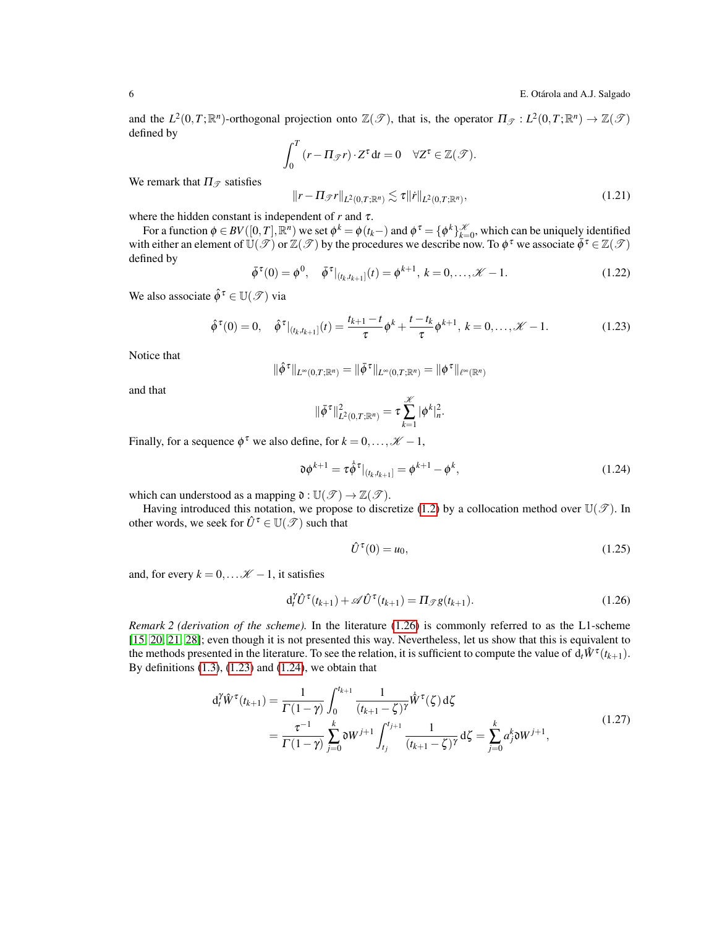and the  $L^2(0,T;\mathbb{R}^n)$ -orthogonal projection onto  $\mathbb{Z}(\mathcal{T})$ , that is, the operator  $\Pi_{\mathcal{T}}: L^2(0,T;\mathbb{R}^n) \to \mathbb{Z}(\mathcal{T})$ defined by

$$
\int_0^T (r - \Pi_{\mathscr{T}} r) \cdot Z^{\tau} dt = 0 \quad \forall Z^{\tau} \in \mathbb{Z}(\mathscr{T}).
$$

We remark that  $\Pi_{\mathcal{F}}$  satisfies

<span id="page-5-5"></span>
$$
||r - \Pi_{\mathscr{T}}r||_{L^{2}(0,T;\mathbb{R}^{n})} \lesssim \tau ||r||_{L^{2}(0,T;\mathbb{R}^{n})},
$$
\n(1.21)

where the hidden constant is independent of  $r$  and  $\tau$ .

For a function  $\phi \in BV([0,T], \mathbb{R}^n)$  we set  $\phi^k = \phi(t_k-)$  and  $\phi^\tau = {\phi^k}_{k=0}^\mathcal{H}$ , which can be uniquely identified with either an element of  $\mathbb{U}(\mathscr{T})$  or  $\mathbb{Z}(\mathscr{T})$  by the procedures we describe now. To  $\phi^{\tau}$  we associate  $\bar{\phi}^{\tau} \in \mathbb{Z}(\mathscr{T})$ defined by

$$
\bar{\phi}^{\tau}(0) = \phi^0, \quad \bar{\phi}^{\tau}|_{(t_k, t_{k+1}]}(t) = \phi^{k+1}, \, k = 0, \dots, \mathcal{K} - 1. \tag{1.22}
$$

We also associate  $\hat{\phi}^{\tau} \in \mathbb{U}(\mathscr{T})$  via

<span id="page-5-1"></span>
$$
\hat{\phi}^{\tau}(0) = 0, \quad \hat{\phi}^{\tau}|_{(t_k, t_{k+1}]}(t) = \frac{t_{k+1} - t}{\tau} \phi^k + \frac{t - t_k}{\tau} \phi^{k+1}, \ k = 0, \dots, \mathcal{K} - 1.
$$
\n(1.23)

Notice that

$$
\|\hat{\phi}^\tau\|_{L^\infty(0,T;\mathbb{R}^n)} = \|\bar{\phi}^\tau\|_{L^\infty(0,T;\mathbb{R}^n)} = \|\phi^\tau\|_{\ell^\infty(\mathbb{R}^n)}
$$

and that

$$
\|\bar{\phi}^{\tau}\|_{L^2(0,T;\mathbb{R}^n)}^2 = \tau \sum_{k=1}^{\mathcal{K}} |\phi^k|_n^2.
$$

Finally, for a sequence  $\phi^{\tau}$  we also define, for  $k = 0, \ldots, \mathcal{K} - 1$ ,

<span id="page-5-2"></span>
$$
\mathfrak{d}\phi^{k+1} = \tau \dot{\phi}^{\tau}|_{(t_k, t_{k+1}]} = \phi^{k+1} - \phi^k,
$$
\n(1.24)

which can understood as a mapping  $\mathfrak{d}: \mathbb{U}(\mathscr{T}) \to \mathbb{Z}(\mathscr{T})$ .

Having introduced this notation, we propose to discretize [\(1.2\)](#page-1-0) by a collocation method over  $\mathbb{U}(\mathscr{T})$ . In other words, we seek for  $\hat{U}^{\tau} \in \mathbb{U}(\mathscr{T})$  such that

<span id="page-5-4"></span>
$$
\hat{U}^{\tau}(0) = u_0,\tag{1.25}
$$

and, for every  $k = 0, \ldots \mathcal{K} - 1$ , it satisfies

<span id="page-5-0"></span>
$$
\mathrm{d}_t^{\gamma} \hat{U}^{\tau}(t_{k+1}) + \mathscr{A} \hat{U}^{\tau}(t_{k+1}) = \Pi_{\mathscr{F}} g(t_{k+1}). \tag{1.26}
$$

<span id="page-5-6"></span>*Remark 2 (derivation of the scheme).* In the literature [\(1.26\)](#page-5-0) is commonly referred to as the L1-scheme [\[15,](#page-18-19) [20,](#page-18-20) [21,](#page-18-21) [28\]](#page-19-3); even though it is not presented this way. Nevertheless, let us show that this is equivalent to the methods presented in the literature. To see the relation, it is sufficient to compute the value of  $d_t \hat{W}^{\tau}(t_{k+1})$ . By definitions  $(1.3)$ ,  $(1.23)$  and  $(1.24)$ , we obtain that

<span id="page-5-3"></span>
$$
d_t^{\gamma} \hat{W}^{\tau}(t_{k+1}) = \frac{1}{\Gamma(1-\gamma)} \int_0^{t_{k+1}} \frac{1}{(t_{k+1} - \zeta)^{\gamma}} \hat{W}^{\tau}(\zeta) d\zeta
$$
  
= 
$$
\frac{\tau^{-1}}{\Gamma(1-\gamma)} \sum_{j=0}^k \mathfrak{d}W^{j+1} \int_{t_j}^{t_{j+1}} \frac{1}{(t_{k+1} - \zeta)^{\gamma}} d\zeta = \sum_{j=0}^k a_j^k \mathfrak{d}W^{j+1},
$$
(1.27)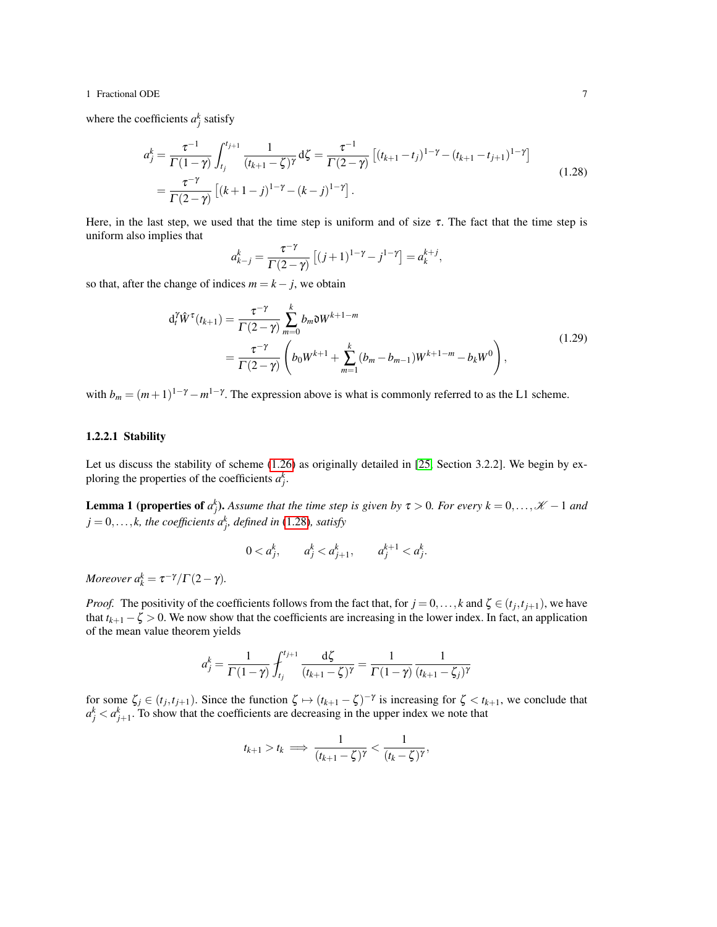where the coefficients  $a_j^k$  satisfy

<span id="page-6-0"></span>
$$
a_j^k = \frac{\tau^{-1}}{\Gamma(1-\gamma)} \int_{t_j}^{t_{j+1}} \frac{1}{(t_{k+1}-\zeta)^{\gamma}} d\zeta = \frac{\tau^{-1}}{\Gamma(2-\gamma)} \left[ (t_{k+1}-t_j)^{1-\gamma} - (t_{k+1}-t_{j+1})^{1-\gamma} \right]
$$
  
= 
$$
\frac{\tau^{-\gamma}}{\Gamma(2-\gamma)} \left[ (k+1-j)^{1-\gamma} - (k-j)^{1-\gamma} \right].
$$
 (1.28)

Here, in the last step, we used that the time step is uniform and of size  $\tau$ . The fact that the time step is uniform also implies that

$$
a_{k-j}^k = \frac{\tau^{-\gamma}}{\Gamma(2-\gamma)} \left[ (j+1)^{1-\gamma} - j^{1-\gamma} \right] = a_k^{k+j},
$$

so that, after the change of indices  $m = k - j$ , we obtain

<span id="page-6-2"></span>
$$
d_t^{\gamma} \hat{W}^{\tau}(t_{k+1}) = \frac{\tau^{-\gamma}}{\Gamma(2-\gamma)} \sum_{m=0}^{k} b_m \mathfrak{d}W^{k+1-m}
$$
  
= 
$$
\frac{\tau^{-\gamma}}{\Gamma(2-\gamma)} \left( b_0 W^{k+1} + \sum_{m=1}^{k} (b_m - b_{m-1}) W^{k+1-m} - b_k W^0 \right),
$$
 (1.29)

with  $b_m = (m+1)^{1-\gamma} - m^{1-\gamma}$ . The expression above is what is commonly referred to as the L1 scheme.

#### 1.2.2.1 Stability

Let us discuss the stability of scheme [\(1.26\)](#page-5-0) as originally detailed in [\[25,](#page-18-14) Section 3.2.2]. We begin by exploring the properties of the coefficients  $a_j^k$ .

<span id="page-6-1"></span>**Lemma 1 (properties of**  $a_j^k$ ). Assume that the time step is given by  $\tau > 0$ . For every  $k = 0, \ldots, \mathcal{K} - 1$  and  $j = 0, \ldots, k$ , the coefficients  $a_j^k$ , defined in [\(1.28\)](#page-6-0), satisfy

$$
0 < a_j^k, \qquad a_j^k < a_{j+1}^k, \qquad a_j^{k+1} < a_j^k.
$$

*Moreover*  $a_k^k = \tau^{-\gamma}/\Gamma(2-\gamma)$ *.* 

*Proof.* The positivity of the coefficients follows from the fact that, for  $j = 0, \ldots, k$  and  $\zeta \in (t_j, t_{j+1})$ , we have that  $t_{k+1} - \zeta > 0$ . We now show that the coefficients are increasing in the lower index. In fact, an application of the mean value theorem yields

$$
a_j^k = \frac{1}{\Gamma(1-\gamma)} \int_{t_j}^{t_{j+1}} \frac{d\zeta}{(t_{k+1}-\zeta)^{\gamma}} = \frac{1}{\Gamma(1-\gamma)} \frac{1}{(t_{k+1}-\zeta_j)^{\gamma}}
$$

for some  $\zeta_j \in (t_j, t_{j+1})$ . Since the function  $\zeta \mapsto (t_{k+1} - \zeta)^{-\gamma}$  is increasing for  $\zeta < t_{k+1}$ , we conclude that  $a_j^k < a_{j+1}^k$ . To show that the coefficients are decreasing in the upper index we note that

$$
t_{k+1} > t_k \implies \frac{1}{(t_{k+1}-\zeta)^{\gamma}} < \frac{1}{(t_k-\zeta)^{\gamma}},
$$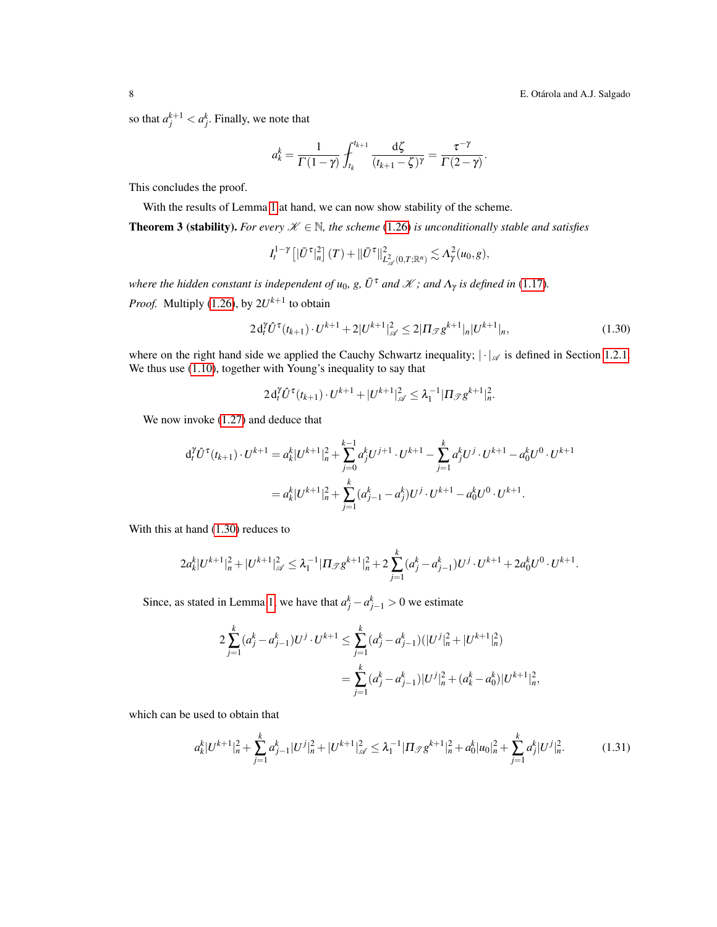so that  $a_j^{k+1} < a_j^k$ . Finally, we note that

$$
a_k^k = \frac{1}{\Gamma(1-\gamma)} \int_{t_k}^{t_{k+1}} \frac{\mathrm{d}\zeta}{(t_{k+1}-\zeta)^{\gamma}} = \frac{\tau^{-\gamma}}{\Gamma(2-\gamma)}.
$$

This concludes the proof.

With the results of Lemma [1](#page-6-1) at hand, we can now show stability of the scheme.

<span id="page-7-2"></span>**Theorem 3 (stability).** For every  $\mathcal{K} \in \mathbb{N}$ , the scheme [\(1.26\)](#page-5-0) is unconditionally stable and satisfies

$$
I_t^{1-\gamma}\left[|\bar{U}^{\tau}|_n^2\right](T)+\|\bar{U}^{\tau}\|_{L^2_{\mathscr{A}}(0,T;\mathbb{R}^n)}^2\lesssim \Lambda^2_{\gamma}(u_0,g),
$$

*where the hidden constant is independent of*  $u_0$ *, g,*  $\bar{U}^{\tau}$  *and*  $\mathcal{K}$ *; and*  $\Lambda_{\gamma}$  *<i>is defined in* [\(1.17\)](#page-3-3)*. Proof.* Multiply [\(1.26\)](#page-5-0), by  $2U^{k+1}$  to obtain

<span id="page-7-0"></span>
$$
2\mathrm{d}_t^{\gamma} \hat{U}^{\tau}(t_{k+1}) \cdot U^{k+1} + 2|U^{k+1}|_{\mathscr{A}}^2 \le 2|\Pi_{\mathscr{F}} g^{k+1}|_{n}|U^{k+1}|_{n},\tag{1.30}
$$

where on the right hand side we applied the Cauchy Schwartz inequality;  $|\cdot|_A$  is defined in Section [1.2.1.](#page-2-2) We thus use  $(1.10)$ , together with Young's inequality to say that

$$
2 d_t^{\gamma} \hat{U}^{\tau}(t_{k+1}) \cdot U^{k+1} + |U^{k+1}|_{\mathscr{A}}^2 \leq \lambda_1^{-1} |\Pi_{\mathscr{F}} g^{k+1}|_n^2.
$$

We now invoke [\(1.27\)](#page-5-3) and deduce that

$$
d_t^{\gamma} \hat{U}^{\tau}(t_{k+1}) \cdot U^{k+1} = a_k^k |U^{k+1}|_n^2 + \sum_{j=0}^{k-1} a_j^k U^{j+1} \cdot U^{k+1} - \sum_{j=1}^k a_j^k U^j \cdot U^{k+1} - a_0^k U^0 \cdot U^{k+1}
$$
  
=  $a_k^k |U^{k+1}|_n^2 + \sum_{j=1}^k (a_{j-1}^k - a_j^k) U^j \cdot U^{k+1} - a_0^k U^0 \cdot U^{k+1}.$ 

With this at hand [\(1.30\)](#page-7-0) reduces to

$$
2a_k^k|U^{k+1}|_n^2+|U^{k+1}|_{\mathscr A}^2\leq \lambda_1^{-1}|\Pi_{\mathscr T} g^{k+1}|_n^2+2\sum_{j=1}^k(a_j^k-a_{j-1}^k)U^j\cdot U^{k+1}+2a_0^kU^0\cdot U^{k+1}.
$$

Since, as stated in Lemma [1,](#page-6-1) we have that  $a_j^k - a_{j-1}^k > 0$  we estimate

$$
2\sum_{j=1}^{k} (a_j^k - a_{j-1}^k)U^j \cdot U^{k+1} \le \sum_{j=1}^{k} (a_j^k - a_{j-1}^k) (|U^j|_n^2 + |U^{k+1}|_n^2)
$$
  
= 
$$
\sum_{j=1}^{k} (a_j^k - a_{j-1}^k) |U^j|_n^2 + (a_k^k - a_0^k) |U^{k+1}|_n^2,
$$

which can be used to obtain that

<span id="page-7-1"></span>
$$
a_k^k |U^{k+1}|_n^2 + \sum_{j=1}^k a_{j-1}^k |U^j|_n^2 + |U^{k+1}|_{\mathscr{A}}^2 \le \lambda_1^{-1} |\Pi_{\mathscr{F}} g^{k+1}|_n^2 + a_0^k |u_0|_n^2 + \sum_{j=1}^k a_j^k |U^j|_n^2. \tag{1.31}
$$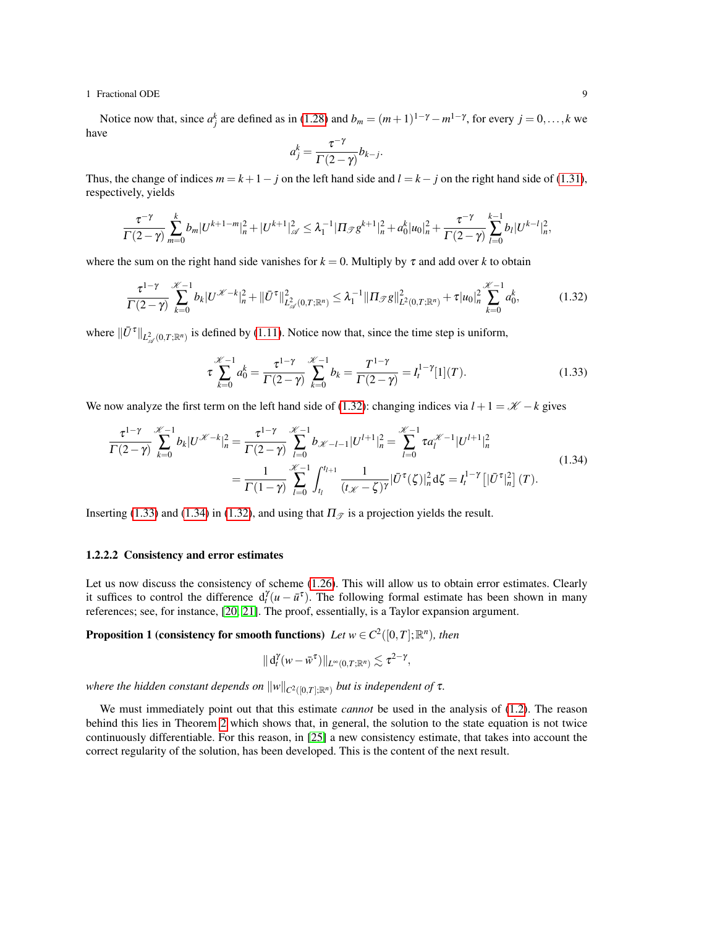Notice now that, since  $a_j^k$  are defined as in [\(1.28\)](#page-6-0) and  $b_m = (m+1)^{1-\gamma} - m^{1-\gamma}$ , for every  $j = 0, \ldots, k$  we have

$$
a_j^k = \frac{\tau^{-\gamma}}{\Gamma(2-\gamma)} b_{k-j}.
$$

Thus, the change of indices  $m = k + 1 - j$  on the left hand side and  $l = k - j$  on the right hand side of [\(1.31\)](#page-7-1), respectively, yields

$$
\frac{\tau^{-\gamma}}{\Gamma(2-\gamma)}\sum_{m=0}^k b_m|U^{k+1-m}|_n^2+|U^{k+1}|_{\mathscr{A}}^2\leq \lambda_1^{-1}|\Pi_{\mathscr{T}}g^{k+1}|_n^2+a_0^k|u_0|_n^2+\frac{\tau^{-\gamma}}{\Gamma(2-\gamma)}\sum_{l=0}^{k-1}b_l|U^{k-l}|_n^2,
$$

where the sum on the right hand side vanishes for  $k = 0$ . Multiply by  $\tau$  and add over *k* to obtain

<span id="page-8-0"></span>
$$
\frac{\tau^{1-\gamma}}{\Gamma(2-\gamma)}\sum_{k=0}^{\mathcal{K}-1}b_k|U^{\mathcal{K}-k}|_n^2 + \|\bar{U}^{\tau}\|_{L_{\mathcal{A}}^2(0,T;\mathbb{R}^n)}^2 \leq \lambda_1^{-1} \|H_{\mathcal{F}}g\|_{L^2(0,T;\mathbb{R}^n)}^2 + \tau|u_0|_n^2\sum_{k=0}^{\mathcal{K}-1}a_0^k,\tag{1.32}
$$

where  $\|\bar{U}^{\tau}\|_{L^2_{\mathscr{A}}(0,T;\mathbb{R}^n)}$  is defined by [\(1.11\)](#page-3-5). Notice now that, since the time step is uniform,

<span id="page-8-1"></span>
$$
\tau \sum_{k=0}^{\mathcal{K}-1} a_0^k = \frac{\tau^{1-\gamma}}{\Gamma(2-\gamma)} \sum_{k=0}^{\mathcal{K}-1} b_k = \frac{T^{1-\gamma}}{\Gamma(2-\gamma)} = I_t^{1-\gamma}[1](T). \tag{1.33}
$$

We now analyze the first term on the left hand side of [\(1.32\)](#page-8-0): changing indices via  $l + 1 = \mathcal{K} - k$  gives

<span id="page-8-2"></span>
$$
\frac{\tau^{1-\gamma}}{\Gamma(2-\gamma)}\sum_{k=0}^{\mathscr{K}-1}b_k|U^{\mathscr{K}-k}|_n^2 = \frac{\tau^{1-\gamma}}{\Gamma(2-\gamma)}\sum_{l=0}^{\mathscr{K}-1}b_{\mathscr{K}-l-1}|U^{l+1}|_n^2 = \sum_{l=0}^{\mathscr{K}-1}\tau a_l^{\mathscr{K}-1}|U^{l+1}|_n^2
$$
\n
$$
= \frac{1}{\Gamma(1-\gamma)}\sum_{l=0}^{\mathscr{K}-1}\int_{t_l}^{t_{l+1}}\frac{1}{(t_{\mathscr{K}}-\zeta)^{\gamma}}|\bar{U}^{\tau}(\zeta)|_n^2\,\mathrm{d}\zeta = I_l^{1-\gamma}\left[|\bar{U}^{\tau}|_n^2\right](T).
$$
\n(1.34)

Inserting [\(1.33\)](#page-8-1) and [\(1.34\)](#page-8-2) in [\(1.32\)](#page-8-0), and using that  $\Pi_{\mathcal{T}}$  is a projection yields the result.

#### 1.2.2.2 Consistency and error estimates

Let us now discuss the consistency of scheme [\(1.26\)](#page-5-0). This will allow us to obtain error estimates. Clearly it suffices to control the difference  $d_t^{\gamma}(u - \bar{u}^{\tau})$ . The following formal estimate has been shown in many references; see, for instance, [\[20,](#page-18-20) [21\]](#page-18-21). The proof, essentially, is a Taylor expansion argument.

<span id="page-8-4"></span>**Proposition 1 (consistency for smooth functions)** *Let*  $w \in C^2([0, T]; \mathbb{R}^n)$ *, then* 

$$
|| d_t^{\gamma} (w - \bar{w}^{\tau}) ||_{L^{\infty}(0,T; \mathbb{R}^n)} \lesssim \tau^{2-\gamma},
$$

*where the hidden constant depends on*  $\|w\|_{C^2([0,T];\mathbb{R}^n)}$  *but is independent of*  $\tau$ *.* 

<span id="page-8-3"></span>We must immediately point out that this estimate *cannot* be used in the analysis of [\(1.2\)](#page-1-0). The reason behind this lies in Theorem [2](#page-4-0) which shows that, in general, the solution to the state equation is not twice continuously differentiable. For this reason, in [\[25\]](#page-18-14) a new consistency estimate, that takes into account the correct regularity of the solution, has been developed. This is the content of the next result.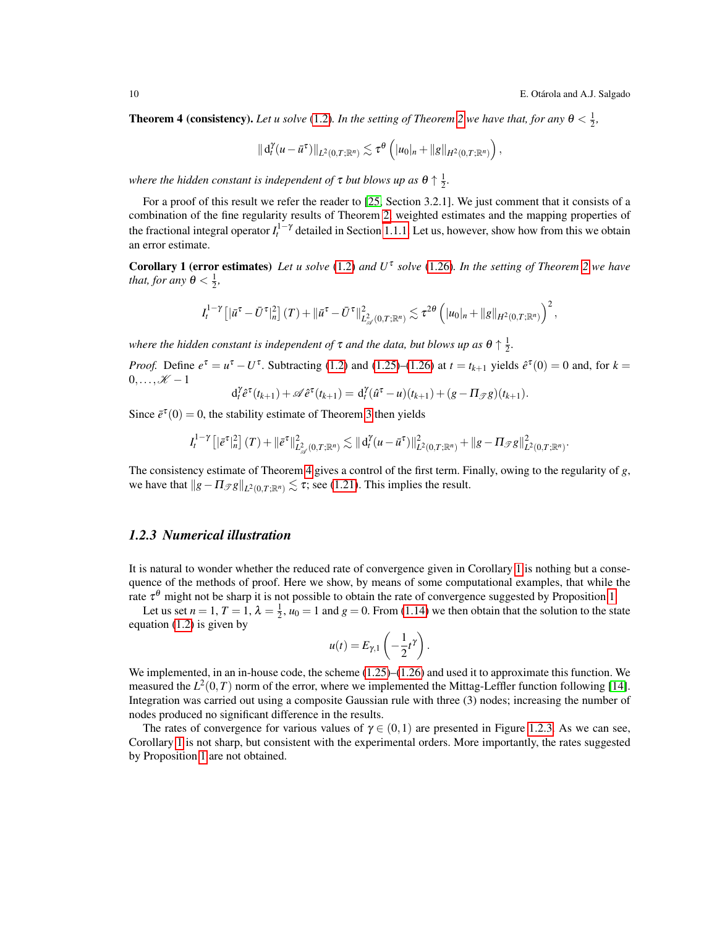**Theorem 4 (consistency).** Let u solve [\(1.2\)](#page-1-0). In the setting of Theorem [2](#page-4-0) we have that, for any  $\theta < \frac{1}{2}$ ,

$$
\| d_t^{\gamma} (u - \bar{u}^{\tau}) \|_{L^2(0,T;\mathbb{R}^n)} \lesssim \tau^{\theta} \left( |u_0|_n + \|g\|_{H^2(0,T;\mathbb{R}^n)} \right),
$$

where the hidden constant is independent of  $\tau$  but blows up as  $\theta \uparrow \frac{1}{2}$ .

For a proof of this result we refer the reader to [\[25,](#page-18-14) Section 3.2.1]. We just comment that it consists of a combination of the fine regularity results of Theorem [2,](#page-4-0) weighted estimates and the mapping properties of the fractional integral operator  $I_t^{1-\gamma}$  detailed in Section [1.1.1.](#page-2-0) Let us, however, show how from this we obtain an error estimate.

<span id="page-9-0"></span>Corollary 1 (error estimates) *Let u solve* [\(1.2\)](#page-1-0) *and U*<sup>τ</sup> *solve* [\(1.26\)](#page-5-0)*. In the setting of Theorem [2](#page-4-0) we have that, for any*  $\theta < \frac{1}{2}$ *,* 

$$
I_t^{1-\gamma}\left[|\bar{u}^{\tau}-\bar{U}^{\tau}|_n^2\right](T)+\|\bar{u}^{\tau}-\bar{U}^{\tau}\|_{L^2_{\mathscr{A}}(0,T;\mathbb{R}^n)}^2\lesssim \tau^{2\theta}\left(|u_0|_n+\|g\|_{H^2(0,T;\mathbb{R}^n)}\right)^2,
$$

where the hidden constant is independent of  $\tau$  and the data, but blows up as  $\theta \uparrow \frac{1}{2}$ .

*Proof.* Define  $e^{\tau} = u^{\tau} - U^{\tau}$ . Subtracting [\(1.2\)](#page-1-0) and [\(1.25\)](#page-5-4)–[\(1.26\)](#page-5-0) at  $t = t_{k+1}$  yields  $\hat{e}^{\tau}(0) = 0$  and, for  $k =$  $0,\ldots,\mathscr{K}-1$ 

$$
d_t^{\gamma} \hat{e}^{\tau}(t_{k+1}) + \mathscr{A} \hat{e}^{\tau}(t_{k+1}) = d_t^{\gamma} (\hat{u}^{\tau} - u)(t_{k+1}) + (g - \Pi_{\mathscr{F}} g)(t_{k+1}).
$$

Since  $\bar{e}^{\tau}(0) = 0$ , the stability estimate of Theorem [3](#page-7-2) then yields

$$
I_t^{1-\gamma}\big[|\bar{e}^\tau|_n^2\big](T)+\|\bar{e}^\tau\|^2_{L^2_{\mathscr{A}}(0,T;\mathbb{R}^n)}\lesssim \| \, \mathrm{d}_t^\gamma (u-\bar{u}^\tau)\|^2_{L^2(0,T;\mathbb{R}^n)}+\|g-\Pi_{\mathscr{T}}g\|^2_{L^2(0,T;\mathbb{R}^n)}.
$$

The consistency estimate of Theorem [4](#page-8-3) gives a control of the first term. Finally, owing to the regularity of *g*, we have that  $||g - \Pi_{\mathscr{S}}g||_{L^2(0,T;\mathbb{R}^n)} \lesssim \tau$ ; see [\(1.21\)](#page-5-5). This implies the result.

## <span id="page-9-1"></span>*1.2.3 Numerical illustration*

It is natural to wonder whether the reduced rate of convergence given in Corollary [1](#page-9-0) is nothing but a consequence of the methods of proof. Here we show, by means of some computational examples, that while the rate  $\tau^{\theta}$  might not be sharp it is not possible to obtain the rate of convergence suggested by Proposition [1.](#page-8-4)

Let us set  $n = 1$ ,  $T = 1$ ,  $\lambda = \frac{1}{2}$ ,  $u_0 = 1$  and  $g = 0$ . From [\(1.14\)](#page-3-2) we then obtain that the solution to the state equation [\(1.2\)](#page-1-0) is given by

$$
u(t) = E_{\gamma,1}\left(-\frac{1}{2}t^{\gamma}\right).
$$

We implemented, in an in-house code, the scheme  $(1.25)$ – $(1.26)$  and used it to approximate this function. We measured the  $L^2(0,T)$  norm of the error, where we implemented the Mittag-Leffler function following [\[14\]](#page-18-22). Integration was carried out using a composite Gaussian rule with three (3) nodes; increasing the number of nodes produced no significant difference in the results.

The rates of convergence for various values of  $\gamma \in (0,1)$  are presented in Figure [1.2.3.](#page-9-1) As we can see, Corollary [1](#page-9-0) is not sharp, but consistent with the experimental orders. More importantly, the rates suggested by Proposition [1](#page-8-4) are not obtained.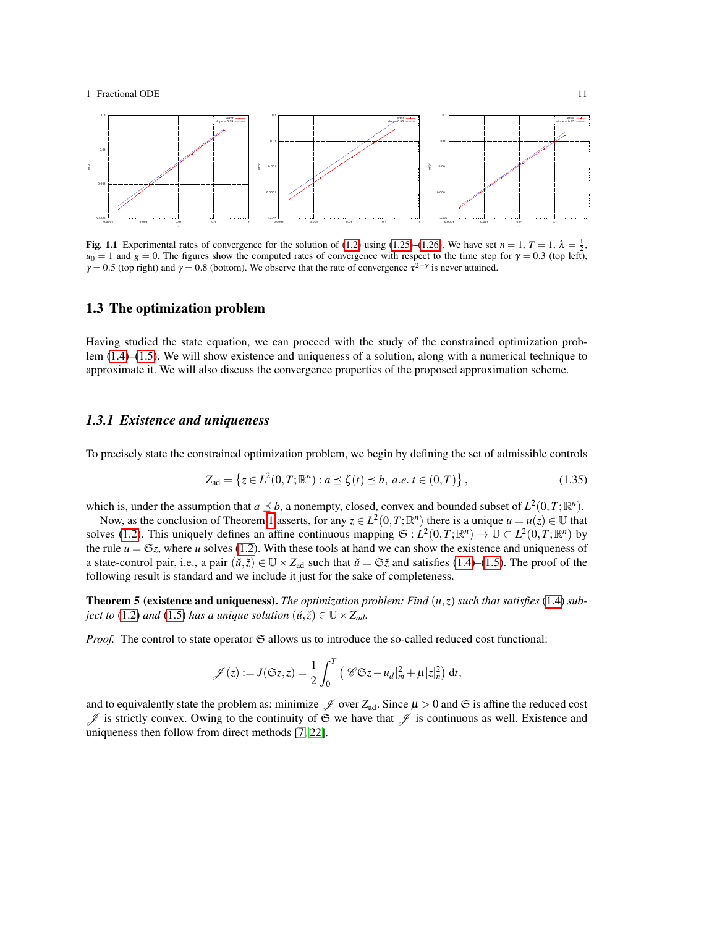

Fig. 1.1 Experimental rates of convergence for the solution of [\(1.2\)](#page-1-0) using [\(1.25\)](#page-5-4)–[\(1.26\)](#page-5-0). We have set  $n = 1, T = 1, \lambda = \frac{1}{2}$ ,  $u_0 = 1$  and  $g = 0$ . The figures show the computed rates of convergence with respect to the time step for  $\gamma = 0.3$  (top left),  $\gamma$  = 0.5 (top right) and  $\gamma$  = 0.8 (bottom). We observe that the rate of convergence  $\tau^{2-\gamma}$  is never attained.

# <span id="page-10-0"></span>1.3 The optimization problem

Having studied the state equation, we can proceed with the study of the constrained optimization problem [\(1.4\)](#page-1-1)–[\(1.5\)](#page-1-3). We will show existence and uniqueness of a solution, along with a numerical technique to approximate it. We will also discuss the convergence properties of the proposed approximation scheme.

#### *1.3.1 Existence and uniqueness*

To precisely state the constrained optimization problem, we begin by defining the set of admissible controls

$$
Z_{\text{ad}} = \left\{ z \in L^2(0, T; \mathbb{R}^n) : a \le \zeta(t) \le b, \ a.e. \ t \in (0, T) \right\},\tag{1.35}
$$

which is, under the assumption that  $a \leq b$ , a nonempty, closed, convex and bounded subset of  $L^2(0,T;\mathbb{R}^n)$ .

Now, as the conclusion of Theorem [1](#page-3-6) asserts, for any  $z \in L^2(0,T;\mathbb{R}^n)$  there is a unique  $u = u(z) \in \mathbb{U}$  that solves [\(1.2\)](#page-1-0). This uniquely defines an affine continuous mapping  $\mathfrak{S}: L^2(0,T;\mathbb{R}^n) \to \mathbb{U} \subset L^2(0,T;\mathbb{R}^n)$  by the rule  $u = \mathfrak{S}_z$ , where *u* solves [\(1.2\)](#page-1-0). With these tools at hand we can show the existence and uniqueness of a state-control pair, i.e., a pair  $(\check{u}, \check{z}) \in \mathbb{U} \times Z_{ad}$  such that  $\check{u} = \mathfrak{S}\check{z}$  and satisfies [\(1.4\)](#page-1-1)–[\(1.5\)](#page-1-3). The proof of the following result is standard and we include it just for the sake of completeness.

<span id="page-10-1"></span>Theorem 5 (existence and uniqueness). *The optimization problem: Find* (*u*,*z*) *such that satisfies* [\(1.4\)](#page-1-1) *subject to* [\(1.2\)](#page-1-0) *and* [\(1.5\)](#page-1-3) *has a unique solution*  $(\check{u}, \check{z}) \in \mathbb{U} \times Z_{ad}$ *.* 

*Proof.* The control to state operator  $\mathfrak S$  allows us to introduce the so-called reduced cost functional:

$$
\mathscr{J}(z) := J(\mathfrak{S}z, z) = \frac{1}{2} \int_0^T \left( |\mathscr{C} \mathfrak{S} z - u_d|_m^2 + \mu |z|_n^2 \right) dt,
$$

and to equivalently state the problem as: minimize  $\mathcal J$  over  $Z_{ad}$ . Since  $\mu > 0$  and  $\mathfrak S$  is affine the reduced cost  $\mathscr J$  is strictly convex. Owing to the continuity of  $\mathfrak S$  we have that  $\mathscr J$  is continuous as well. Existence and uniqueness then follow from direct methods [\[7,](#page-18-23) [22\]](#page-18-24).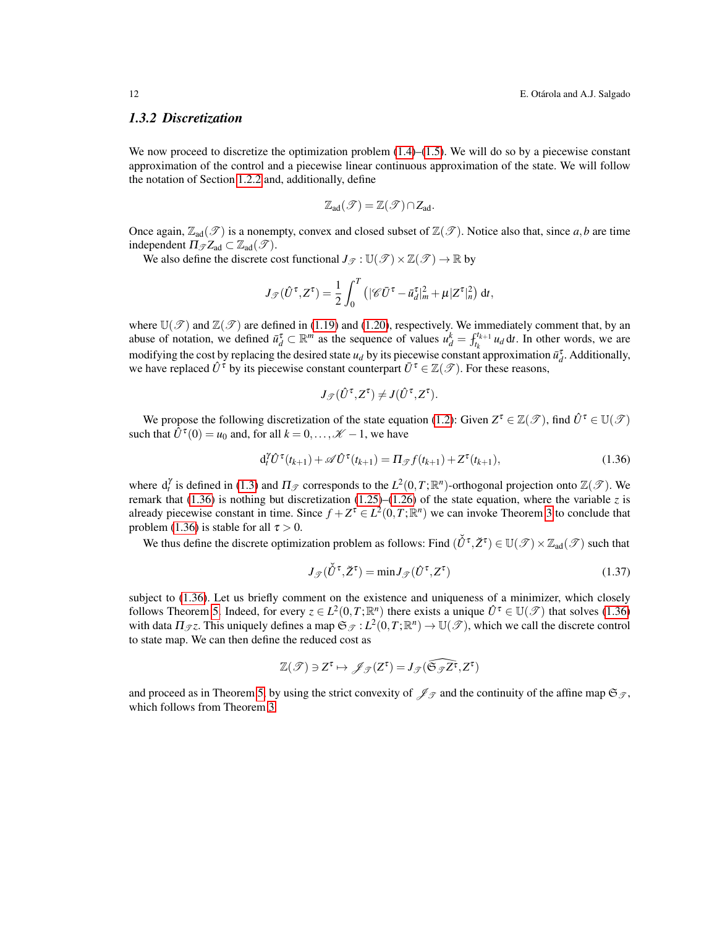#### *1.3.2 Discretization*

We now proceed to discretize the optimization problem  $(1.4)$ – $(1.5)$ . We will do so by a piecewise constant approximation of the control and a piecewise linear continuous approximation of the state. We will follow the notation of Section [1.2.2](#page-4-2) and, additionally, define

$$
\mathbb{Z}_{ad}(\mathscr{T}) = \mathbb{Z}(\mathscr{T}) \cap Z_{ad}.
$$

Once again,  $\mathbb{Z}_{ad}(\mathscr{T})$  is a nonempty, convex and closed subset of  $\mathbb{Z}(\mathscr{T})$ . Notice also that, since a, b are time independent  $\Pi_{\mathscr{T}}Z_{ad} \subset \mathbb{Z}_{ad}(\mathscr{T})$ .

We also define the discrete cost functional  $J_{\mathscr{T}} : \mathbb{U}(\mathscr{T}) \times \mathbb{Z}(\mathscr{T}) \to \mathbb{R}$  by

$$
J_{\mathscr{T}}(\hat{U}^{\tau},Z^{\tau})=\frac{1}{2}\int_0^T\left(|\mathscr{C}\bar{U}^{\tau}-\bar{u}_d^{\tau}|^2_m+\mu|Z^{\tau}|^2_n\right)\mathrm{d}t,
$$

where  $\mathbb{U}(\mathcal{T})$  and  $\mathbb{Z}(\mathcal{T})$  are defined in [\(1.19\)](#page-4-3) and [\(1.20\)](#page-4-4), respectively. We immediately comment that, by an abuse of notation, we defined  $\bar{u}_d^{\tau} \subset \mathbb{R}^m$  as the sequence of values  $u_d^k = f_{t_k}^{t_{k+1}} u_d$  dt. In other words, we are modifying the cost by replacing the desired state  $u_d$  by its piecewise constant approximation  $\bar{u}_d^{\tau}$ . Additionally, we have replaced  $\hat{U}^{\tau}$  by its piecewise constant counterpart  $\bar{U}^{\tau} \in \mathbb{Z}(\mathscr{T})$ . For these reasons,

$$
J_{\mathscr{T}}(\hat{U}^{\tau},Z^{\tau}) \neq J(\hat{U}^{\tau},Z^{\tau}).
$$

We propose the following discretization of the state equation [\(1.2\)](#page-1-0): Given  $Z^{\tau} \in \mathbb{Z}(\mathscr{T})$ , find  $\hat{U}^{\tau} \in \mathbb{U}(\mathscr{T})$ such that  $\hat{U}^{\tau}(0) = u_0$  and, for all  $k = 0, \dots, \mathcal{K} - 1$ , we have

<span id="page-11-0"></span>
$$
\mathrm{d}_t^{\gamma} \hat{U}^{\tau}(t_{k+1}) + \mathscr{A} \hat{U}^{\tau}(t_{k+1}) = \Pi_{\mathscr{T}} f(t_{k+1}) + Z^{\tau}(t_{k+1}), \tag{1.36}
$$

where  $d_t^{\gamma}$  is defined in [\(1.3\)](#page-1-2) and  $\Pi_{\mathcal{T}}$  corresponds to the  $L^2(0,T;\mathbb{R}^n)$ -orthogonal projection onto  $\mathbb{Z}(\mathcal{T})$ . We remark that [\(1.36\)](#page-11-0) is nothing but discretization [\(1.25\)](#page-5-4)–[\(1.26\)](#page-5-0) of the state equation, where the variable  $\zeta$  is already piecewise constant in time. Since  $f + Z^{\tau} \in L^2(0,T;\mathbb{R}^n)$  we can invoke Theorem [3](#page-7-2) to conclude that problem [\(1.36\)](#page-11-0) is stable for all  $\tau > 0$ .

We thus define the discrete optimization problem as follows: Find  $(\check{U}^{\tau}, \check{Z}^{\tau}) \in \mathbb{U}(\mathscr{T}) \times \mathbb{Z}_{ad}(\mathscr{T})$  such that

<span id="page-11-1"></span>
$$
J_{\mathcal{F}}(\check{U}^{\tau}, \check{Z}^{\tau}) = \min J_{\mathcal{F}}(\hat{U}^{\tau}, Z^{\tau})
$$
\n(1.37)

subject to [\(1.36\)](#page-11-0). Let us briefly comment on the existence and uniqueness of a minimizer, which closely follows Theorem [5.](#page-10-1) Indeed, for every  $z \in L^2(0,T;\mathbb{R}^n)$  there exists a unique  $\hat{U}^{\tau} \in \mathbb{U}(\mathscr{T})$  that solves [\(1.36\)](#page-11-0) with data  $\Pi_{\mathscr{T}}$ *z*. This uniquely defines a map  $\mathfrak{S}_{\mathscr{T}}: L^2(0,T;\mathbb{R}^n) \to \mathbb{U}(\mathscr{T})$ , which we call the discrete control to state map. We can then define the reduced cost as

$$
\mathbb{Z}(\mathscr{T})\ni Z^\tau\mapsto \mathscr{J}_{\mathscr{T}}(Z^\tau)=J_{\mathscr{T}}(\widehat{\mathfrak{S}_{\mathscr{T}}Z^\tau},Z^\tau)
$$

and proceed as in Theorem [5,](#page-10-1) by using the strict convexity of  $\mathscr{J}_{\mathscr{T}}$  and the continuity of the affine map  $\mathfrak{S}_{\mathscr{T}}$ , which follows from Theorem [3.](#page-7-2)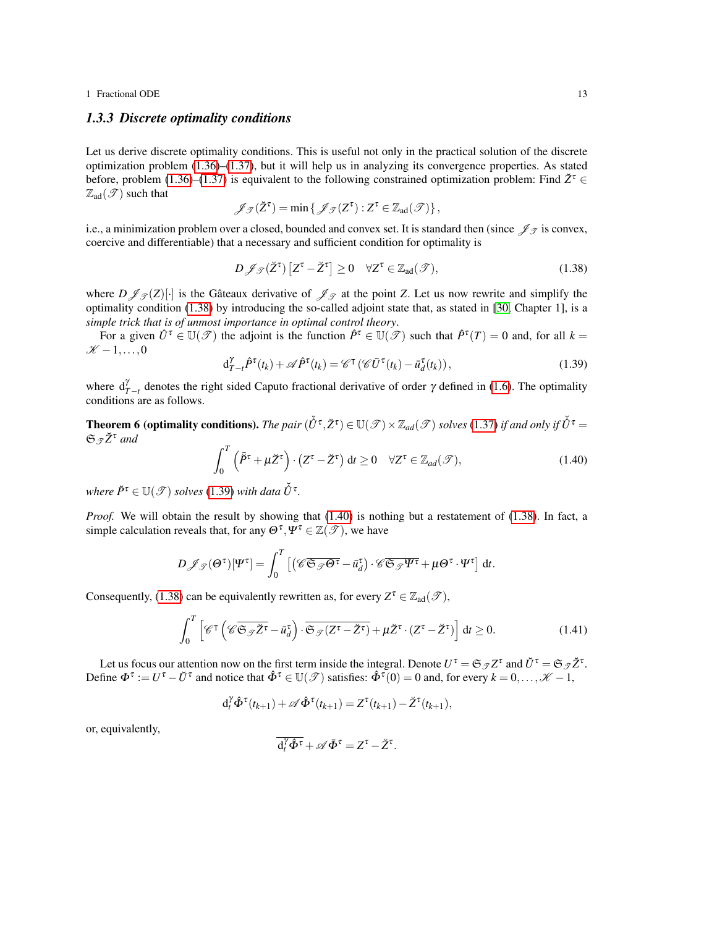#### *1.3.3 Discrete optimality conditions*

Let us derive discrete optimality conditions. This is useful not only in the practical solution of the discrete optimization problem [\(1.36\)](#page-11-0)–[\(1.37\)](#page-11-1), but it will help us in analyzing its convergence properties. As stated before, problem [\(1.36\)](#page-11-0)–[\(1.37\)](#page-11-1) is equivalent to the following constrained optimization problem: Find  $\check{Z}^{\tau} \in$  $\mathbb{Z}_{\text{ad}}(\mathscr{T})$  such that

$$
\mathscr{J}_{\mathscr{T}}(\breve{Z}^{\tau}) = \min \left\{ \mathscr{J}_{\mathscr{T}}(Z^{\tau}) : Z^{\tau} \in \mathbb{Z}_{\text{ad}}(\mathscr{T}) \right\},
$$

i.e., a minimization problem over a closed, bounded and convex set. It is standard then (since  $\mathscr{J}_{\mathscr{T}}$  is convex, coercive and differentiable) that a necessary and sufficient condition for optimality is

<span id="page-12-0"></span>
$$
D\mathscr{J}_{\mathscr{T}}(\check{Z}^{\tau})\left[Z^{\tau}-\check{Z}^{\tau}\right]\geq 0 \quad \forall Z^{\tau}\in\mathbb{Z}_{\text{ad}}(\mathscr{T}),\tag{1.38}
$$

where  $D\mathscr{J}_{\mathscr{T}}(Z)[\cdot]$  is the Gâteaux derivative of  $\mathscr{J}_{\mathscr{T}}$  at the point *Z*. Let us now rewrite and simplify the optimality condition [\(1.38\)](#page-12-0) by introducing the so-called adjoint state that, as stated in [\[30,](#page-19-4) Chapter 1], is a *simple trick that is of unmost importance in optimal control theory*.

For a given  $\hat{U}^{\tau} \in \mathbb{U}(\mathscr{T})$  the adjoint is the function  $\hat{P}^{\tau} \in \mathbb{U}(\mathscr{T})$  such that  $\hat{P}^{\tau}(T) = 0$  and, for all  $k =$  $K-1,\ldots,0$ 

<span id="page-12-1"></span>
$$
d_{T-t}^{\gamma} \hat{P}^{\tau}(t_k) + \mathscr{A}\hat{P}^{\tau}(t_k) = \mathscr{C}^{\tau} (\mathscr{C}\bar{U}^{\tau}(t_k) - \bar{u}_d^{\tau}(t_k)), \qquad (1.39)
$$

where  $d_{T-t}^{\gamma}$  denotes the right sided Caputo fractional derivative of order  $\gamma$  defined in [\(1.6\)](#page-2-3). The optimality conditions are as follows.

<span id="page-12-4"></span>**Theorem 6 (optimality conditions).** The pair  $(\check{U}^{\tau}, \check{Z}^{\tau}) \in \mathbb{U}(\mathscr{T}) \times \mathbb{Z}_{ad}(\mathscr{T})$  solves [\(1.37\)](#page-11-1) if and only if  $\check{U}^{\tau} =$  $\mathfrak{S}_{\mathcal{F}}\mathsf{Z}^{\tau}$  and

<span id="page-12-2"></span>
$$
\int_0^T \left( \bar{\beta}^\tau + \mu \breve{Z}^\tau \right) \cdot \left( Z^\tau - \breve{Z}^\tau \right) dt \ge 0 \quad \forall Z^\tau \in \mathbb{Z}_{ad}(\mathcal{T}), \tag{1.40}
$$

*where*  $\check{P}^{\tau} \in \mathbb{U}(\mathscr{T})$  *solves* [\(1.39\)](#page-12-1) *with data*  $\check{U}^{\tau}$ .

*Proof.* We will obtain the result by showing that [\(1.40\)](#page-12-2) is nothing but a restatement of [\(1.38\)](#page-12-0). In fact, a simple calculation reveals that, for any  $\Theta^{\tau}, \Psi^{\tau} \in \mathbb{Z}(\mathcal{T})$ , we have

$$
D \mathscr{J}_{\mathscr{T}}(\Theta^{\tau})[\Psi^{\tau}] = \int_0^T \left[ \left( \mathscr{C} \overline{\mathfrak{S}_{\mathscr{T}} \Theta^{\tau}} - \overline{u}_d^{\tau} \right) \cdot \mathscr{C} \overline{\mathfrak{S}_{\mathscr{T}} \Psi^{\tau}} + \mu \Theta^{\tau} \cdot \Psi^{\tau} \right] dt.
$$

Consequently, [\(1.38\)](#page-12-0) can be equivalently rewritten as, for every  $Z^{\tau} \in \mathbb{Z}_{ad}(\mathscr{T})$ ,

<span id="page-12-3"></span>
$$
\int_0^T \left[ \mathscr{C}^\top \left( \mathscr{C}\overline{\mathfrak{S}_{\mathscr{T}}\mathcal{Z}^\tau} - \bar{u}_d^\tau \right) \cdot \overline{\mathfrak{S}_{\mathscr{T}}(Z^\tau - \mathcal{Z}^\tau)} + \mu \mathcal{Z}^\tau \cdot (Z^\tau - \mathcal{Z}^\tau) \right] dt \ge 0.
$$
 (1.41)

Let us focus our attention now on the first term inside the integral. Denote  $U^{\tau} = \mathfrak{S}_{\mathscr{T}}Z^{\tau}$  and  $\check{U}^{\tau} = \mathfrak{S}_{\mathscr{T}}\check{Z}^{\tau}$ . Define  $\Phi^{\tau} := U^{\tau} - \check{U}^{\tau}$  and notice that  $\hat{\Phi}^{\tau} \in \mathbb{U}(\mathscr{T})$  satisfies:  $\hat{\Phi}^{\tau}(0) = 0$  and, for every  $k = 0, ..., \mathscr{K} - 1$ ,

$$
\mathrm{d}_t^{\gamma} \hat{\Phi}^{\tau}(t_{k+1}) + \mathscr{A} \hat{\Phi}^{\tau}(t_{k+1}) = Z^{\tau}(t_{k+1}) - \check{Z}^{\tau}(t_{k+1}),
$$

or, equivalently,

$$
\overline{\mathrm{d}_t^{\gamma} \hat{\Phi}^{\tau}} + \mathscr{A} \bar{\Phi}^{\tau} = Z^{\tau} - \breve{Z}^{\tau}.
$$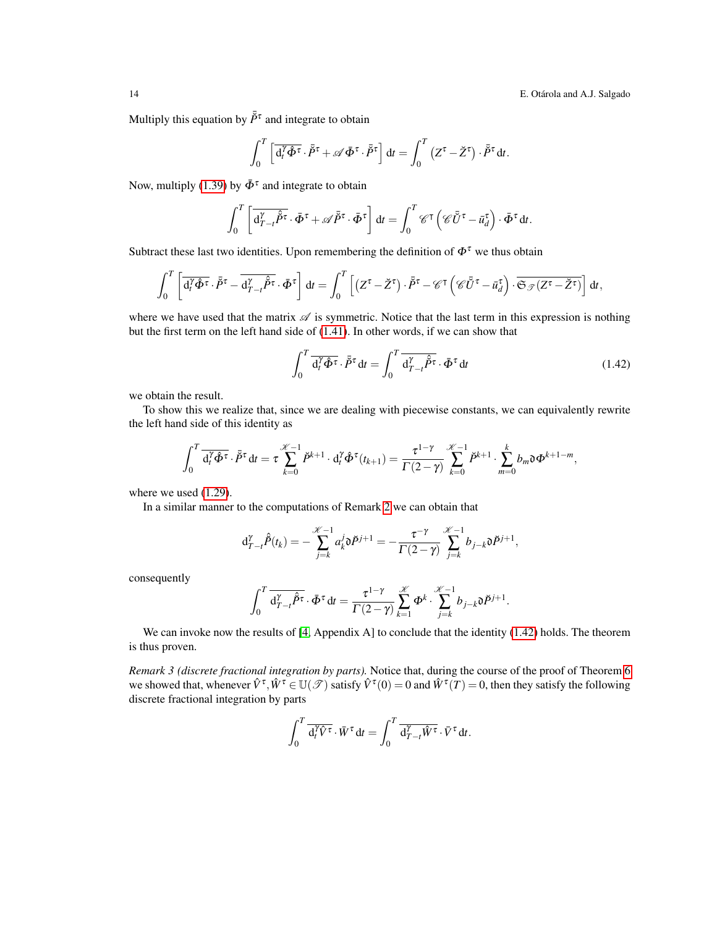14 E. Otarola and A.J. Salgado ´

Multiply this equation by  $\bar{P}^{\tau}$  and integrate to obtain

$$
\int_0^T \left[ \overline{\mathrm{d}_t^{\gamma} \hat{\Phi}^{\tau}} \cdot \overline{\mathring{P}}^{\tau} + \mathscr{A} \overline{\Phi}^{\tau} \cdot \overline{\mathring{P}}^{\tau} \right] \mathrm{d}t = \int_0^T \left( Z^{\tau} - \overline{Z}^{\tau} \right) \cdot \overline{\mathring{P}}^{\tau} \mathrm{d}t.
$$

Now, multiply [\(1.39\)](#page-12-1) by  $\bar{\Phi}^{\tau}$  and integrate to obtain

$$
\int_0^T \left[ \overline{\mathrm{d}_{T-t}^{\gamma} \hat{P}^{\tau}} \cdot \bar{\Phi}^{\tau} + \mathscr{A} \tilde{P}^{\tau} \cdot \bar{\Phi}^{\tau} \right] \mathrm{d}t = \int_0^T \mathscr{C}^{\tau} \left( \mathscr{C} \tilde{U}^{\tau} - \bar{u}_d^{\tau} \right) \cdot \bar{\Phi}^{\tau} \mathrm{d}t.
$$

Subtract these last two identities. Upon remembering the definition of  $\Phi^{\tau}$  we thus obtain

$$
\int_0^T \left[ \overline{d_i^{\gamma} \hat{\Phi}^{\tau}} \cdot \overline{P}^{\tau} - \overline{d_{T-t}^{\gamma} \hat{P}^{\tau}} \cdot \overline{\Phi}^{\tau} \right] dt = \int_0^T \left[ \left( Z^{\tau} - \overline{Z}^{\tau} \right) \cdot \overline{P}^{\tau} - \mathscr{C}^{\tau} \left( \mathscr{C} \overline{U}^{\tau} - \overline{u}_d^{\tau} \right) \cdot \overline{\mathfrak{S}_{\mathscr{T}}(Z^{\tau} - \overline{Z}^{\tau})} \right] dt,
$$

where we have used that the matrix  $\mathscr A$  is symmetric. Notice that the last term in this expression is nothing but the first term on the left hand side of [\(1.41\)](#page-12-3). In other words, if we can show that

<span id="page-13-0"></span>
$$
\int_0^T \overline{\mathrm{d}_t^{\gamma} \hat{\Phi}^{\tau}} \cdot \overline{\tilde{P}}^{\tau} \, \mathrm{d}t = \int_0^T \overline{\mathrm{d}_{T-t}^{\gamma} \hat{P}^{\tau}} \cdot \overline{\Phi}^{\tau} \, \mathrm{d}t \tag{1.42}
$$

we obtain the result.

To show this we realize that, since we are dealing with piecewise constants, we can equivalently rewrite the left hand side of this identity as

$$
\int_0^T \overline{\mathrm{d}_t^{\gamma} \hat{\Phi}^{\tau}} \cdot \overline{\tilde{P}}^{\tau} \, \mathrm{d}t = \tau \sum_{k=0}^{\mathscr{K}-1} \overline{P}^{k+1} \cdot \mathrm{d}_t^{\gamma} \hat{\Phi}^{\tau}(t_{k+1}) = \frac{\tau^{1-\gamma}}{\Gamma(2-\gamma)} \sum_{k=0}^{\mathscr{K}-1} \overline{P}^{k+1} \cdot \sum_{m=0}^k b_m \mathfrak{d} \Phi^{k+1-m},
$$

where we used [\(1.29\)](#page-6-2).

In a similar manner to the computations of Remark [2](#page-5-6) we can obtain that

$$
\mathrm{d}_{T-t}^{\gamma}\hat{P}(t_k)=-\sum_{j=k}^{\mathscr{K}-1}a_k^j\mathfrak{d}\check{P}^{j+1}=-\frac{\tau^{-\gamma}}{\Gamma(2-\gamma)}\sum_{j=k}^{\mathscr{K}-1}b_{j-k}\mathfrak{d}\check{P}^{j+1},
$$

consequently

$$
\int_0^T \overline{\mathrm{d}_{T-t}^{\gamma}} \hat{P}^{\tau} \cdot \bar{\Phi}^{\tau} \, \mathrm{d}t = \frac{\tau^{1-\gamma}}{\Gamma(2-\gamma)} \sum_{k=1}^{\mathcal{K}} \Phi^k \cdot \sum_{j=k}^{\mathcal{K}-1} b_{j-k} \mathfrak{d} \check{P}^{j+1}.
$$

We can invoke now the results of [\[4,](#page-18-5) Appendix A] to conclude that the identity [\(1.42\)](#page-13-0) holds. The theorem is thus proven.

<span id="page-13-1"></span>*Remark 3 (discrete fractional integration by parts).* Notice that, during the course of the proof of Theorem [6](#page-12-4) we showed that, whenever  $\hat{V}^{\tau}$ ,  $\hat{W}^{\tau} \in \mathbb{U}(\mathcal{F})$  satisfy  $\hat{V}^{\tau}(0) = 0$  and  $\hat{W}^{\tau}(T) = 0$ , then they satisfy the following discrete fractional integration by parts

$$
\int_0^T \overline{\mathrm{d}_t^{\gamma} \widehat{\mathrm{v}}^{\tau}} \cdot \bar{W}^{\tau} \, \mathrm{d}t = \int_0^T \overline{\mathrm{d}_{T-t}^{\gamma} \widehat{W}^{\tau}} \cdot \bar{V}^{\tau} \, \mathrm{d}t.
$$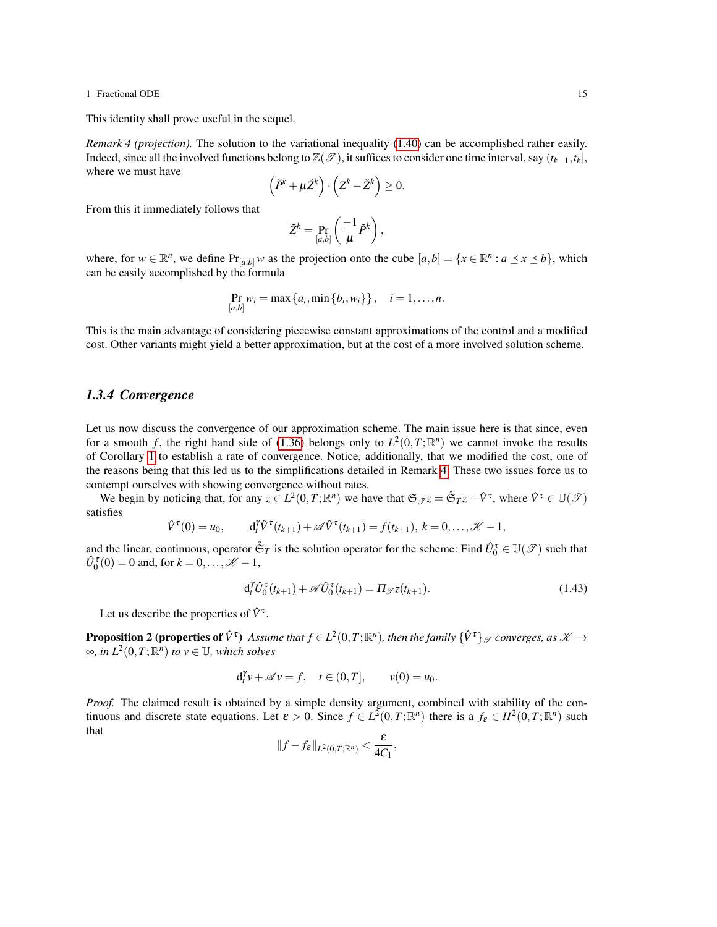This identity shall prove useful in the sequel.

<span id="page-14-0"></span>*Remark 4 (projection).* The solution to the variational inequality [\(1.40\)](#page-12-2) can be accomplished rather easily. Indeed, since all the involved functions belong to  $\mathbb{Z}(\mathscr{T})$ , it suffices to consider one time interval, say  $(t_{k-1}, t_k]$ , where we must have

$$
\left(\check{P}^k + \mu \check{Z}^k\right) \cdot \left(Z^k - \check{Z}^k\right) \geq 0.
$$

From this it immediately follows that

$$
\breve{Z}^k = \Pr_{[a,b]} \left( \frac{-1}{\mu} \breve{P}^k \right),
$$

*Z*˘

where, for  $w \in \mathbb{R}^n$ , we define  $Pr_{[a,b]}w$  as the projection onto the cube  $[a,b] = \{x \in \mathbb{R}^n : a \le x \le b\}$ , which can be easily accomplished by the formula

$$
\Pr_{[a,b]} w_i = \max \{a_i, \min \{b_i, w_i\} \}, \quad i = 1, ..., n.
$$

This is the main advantage of considering piecewise constant approximations of the control and a modified cost. Other variants might yield a better approximation, but at the cost of a more involved solution scheme.

#### *1.3.4 Convergence*

Let us now discuss the convergence of our approximation scheme. The main issue here is that since, even for a smooth *f*, the right hand side of [\(1.36\)](#page-11-0) belongs only to  $L^2(0,T;\mathbb{R}^n)$  we cannot invoke the results of Corollary [1](#page-9-0) to establish a rate of convergence. Notice, additionally, that we modified the cost, one of the reasons being that this led us to the simplifications detailed in Remark [4.](#page-14-0) These two issues force us to contempt ourselves with showing convergence without rates.

We begin by noticing that, for any  $z \in L^2(0,T;\mathbb{R}^n)$  we have that  $\mathfrak{S}_{\mathscr{F}} z = \mathring{\mathfrak{S}}_T z + \mathring{V}^\tau$ , where  $\mathring{V}^\tau \in \mathbb{U}(\mathscr{T})$ satisfies

$$
\hat{V}^{\tau}(0) = u_0, \qquad d_t^{\gamma} \hat{V}^{\tau}(t_{k+1}) + \mathscr{A} \hat{V}^{\tau}(t_{k+1}) = f(t_{k+1}), \ k = 0, \ldots, \mathscr{K} - 1,
$$

and the linear, continuous, operator  $\mathfrak{S}_T$  is the solution operator for the scheme: Find  $\hat{U}_0^{\tau} \in \mathbb{U}(\mathscr{T})$  such that  $\hat{U}_0^{\tau}(0) = 0$  and, for  $k = 0, ..., \mathcal{K} - 1$ ,

<span id="page-14-2"></span>
$$
d_t^{\gamma} \hat{U}_0^{\tau}(t_{k+1}) + \mathscr{A} \hat{U}_0^{\tau}(t_{k+1}) = \Pi_{\mathscr{F}} z(t_{k+1}). \tag{1.43}
$$

Let us describe the properties of  $\hat{V}^{\tau}$ .

<span id="page-14-1"></span>**Proposition 2 (properties of**  $\hat{V}^{\tau}$ ) Assume that  $f \in L^2(0,T;\mathbb{R}^n)$ , then the family  $\{\hat{V}^{\tau}\}_\mathscr{T}$  converges, as  $\mathscr{K} \to$  $\infty$ , in  $L^2(0,T;\mathbb{R}^n)$  to  $v \in \mathbb{U}$ , which solves

$$
d_t^{\gamma} v + \mathscr{A} v = f, \quad t \in (0, T], \qquad v(0) = u_0.
$$

*Proof.* The claimed result is obtained by a simple density argument, combined with stability of the continuous and discrete state equations. Let  $\varepsilon > 0$ . Since  $f \in L^2(0,T;\mathbb{R}^n)$  there is a  $f_{\varepsilon} \in H^2(0,T;\mathbb{R}^n)$  such that

$$
||f - f_{\varepsilon}||_{L^2(0,T;\mathbb{R}^n)} < \frac{\varepsilon}{4C_1},
$$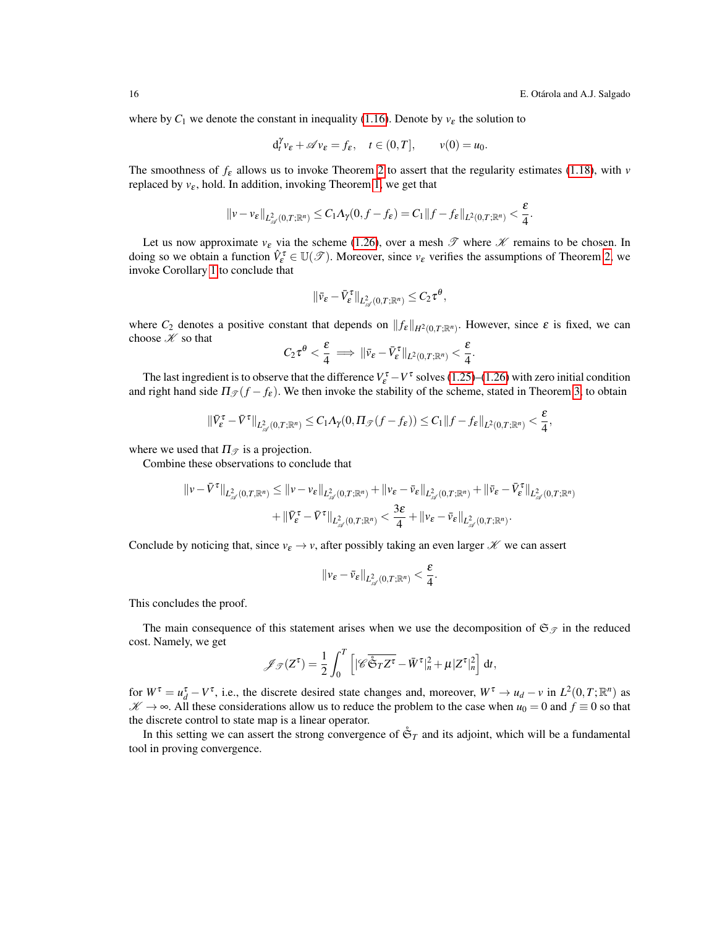where by  $C_1$  we denote the constant in inequality [\(1.16\)](#page-3-7). Denote by  $v_{\varepsilon}$  the solution to

$$
d_t^{\gamma} v_{\varepsilon} + \mathscr{A} v_{\varepsilon} = f_{\varepsilon}, \quad t \in (0, T], \qquad v(0) = u_0.
$$

The smoothness of  $f_{\varepsilon}$  allows us to invoke Theorem [2](#page-4-0) to assert that the regularity estimates [\(1.18\)](#page-4-1), with *v* replaced by  $v_{\varepsilon}$ , hold. In addition, invoking Theorem [1,](#page-3-6) we get that

$$
||v-v_{\varepsilon}||_{L_{\mathscr{A}}^2(0,T;\mathbb{R}^n)} \leq C_1 \Lambda_{\gamma}(0,f-f_{\varepsilon})=C_1||f-f_{\varepsilon}||_{L^2(0,T;\mathbb{R}^n)} < \frac{\varepsilon}{4}.
$$

Let us now approximate  $v_{\varepsilon}$  via the scheme [\(1.26\)](#page-5-0), over a mesh  $\mathscr T$  where  $\mathscr K$  remains to be chosen. In doing so we obtain a function  $\hat{V}_{\varepsilon}^{\tau} \in \mathbb{U}(\mathcal{T})$ . Moreover, since  $v_{\varepsilon}$  verifies the assumptions of Theorem [2,](#page-4-0) we invoke Corollary [1](#page-9-0) to conclude that

$$
\|\bar v_{\varepsilon}-\bar V_{\varepsilon}^{\,\tau}\|_{L^2_{\mathscr A}(0,T;\mathbb R^n)}\leq C_2\tau^\theta,
$$

where  $C_2$  denotes a positive constant that depends on  $||f_\varepsilon||_{H^2(0,T;\mathbb{R}^n)}$ . However, since  $\varepsilon$  is fixed, we can choose  $K$  so that

$$
C_2\tau^{\theta}<\frac{\varepsilon}{4}\implies \|\bar v_{\varepsilon}-\bar V_{\varepsilon}^{\tau}\|_{L^2(0,T;\mathbb{R}^n)}<\frac{\varepsilon}{4}.
$$

The last ingredient is to observe that the difference  $V_{\varepsilon}^{\tau} - V^{\tau}$  solves [\(1.25\)](#page-5-4)–[\(1.26\)](#page-5-0) with zero initial condition and right hand side  $\Pi_{\mathcal{F}}(f - f_{\varepsilon})$ . We then invoke the stability of the scheme, stated in Theorem [3,](#page-7-2) to obtain

$$
\|\bar{V}_{\varepsilon}^{\tau}-\bar{V}^{\tau}\|_{L_{\mathscr{A}}^2(0,T;\mathbb{R}^n)}\leq C_1\Lambda_{\gamma}(0,\Pi_{\mathscr{T}}(f-f_{\varepsilon}))\leq C_1\|f-f_{\varepsilon}\|_{L^2(0,T;\mathbb{R}^n)}<\frac{\varepsilon}{4},
$$

where we used that  $\Pi_{\mathcal{T}}$  is a projection.

Combine these observations to conclude that

$$
\begin{aligned} \|\nu-\bar{V}^{\tau}\|_{L_{\mathscr{A}}^2(0,T,\mathbb{R}^n)} &\leq \|\nu-\nu_{\varepsilon}\|_{L_{\mathscr{A}}^2(0,T;\mathbb{R}^n)} + \|\nu_{\varepsilon}-\bar{\nu}_{\varepsilon}\|_{L_{\mathscr{A}}^2(0,T;\mathbb{R}^n)} + \|\bar{\nu}_{\varepsilon}-\bar{V}^{\tau}_{\varepsilon}\|_{L_{\mathscr{A}}^2(0,T;\mathbb{R}^n)} \\ &+ \|\bar{V}^{\tau}_{\varepsilon}-\bar{V}^{\tau}\|_{L_{\mathscr{A}}^2(0,T;\mathbb{R}^n)} <\frac{3\varepsilon}{4} + \|\nu_{\varepsilon}-\bar{\nu}_{\varepsilon}\|_{L_{\mathscr{A}}^2(0,T;\mathbb{R}^n)}.\end{aligned}
$$

Conclude by noticing that, since  $v_{\varepsilon} \to v$ , after possibly taking an even larger  $\mathscr K$  we can assert

$$
\|\nu_{\varepsilon}-\bar{\nu}_{\varepsilon}\|_{L^2_{\mathscr{A}}(0,T;\mathbb{R}^n)}<\frac{\varepsilon}{4}.
$$

This concludes the proof.

The main consequence of this statement arises when we use the decomposition of  $\mathfrak{S}_{\mathscr{T}}$  in the reduced cost. Namely, we get

$$
\mathscr{J}_{\mathscr{T}}(Z^{\tau}) = \frac{1}{2} \int_0^T \left[ |\mathscr{C} \dot{\mathfrak{S}}_T Z^{\tau} - \bar{W}^{\tau}|_n^2 + \mu |Z^{\tau}|_n^2 \right] dt,
$$

for  $W^{\tau} = u_d^{\tau} - V^{\tau}$ , i.e., the discrete desired state changes and, moreover,  $W^{\tau} \to u_d - v$  in  $L^2(0,T;\mathbb{R}^n)$  as  $\mathcal{K} \to \infty$ . All these considerations allow us to reduce the problem to the case when  $u_0 = 0$  and  $f \equiv 0$  so that the discrete control to state map is a linear operator.

In this setting we can assert the strong convergence of  $\mathring{\mathfrak{S}}_T$  and its adjoint, which will be a fundamental tool in proving convergence.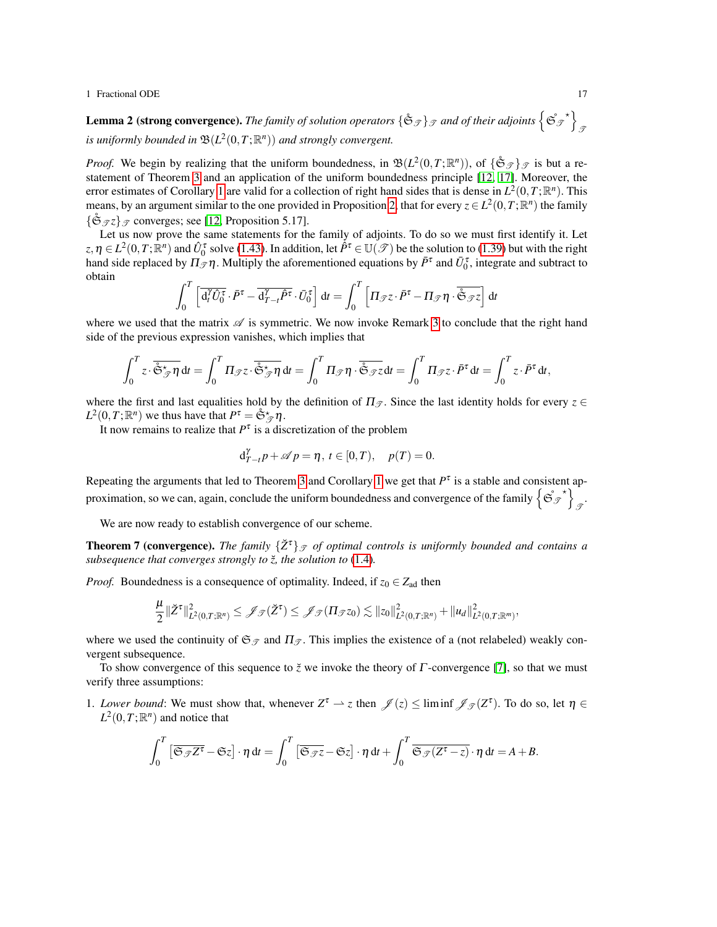17 a 17 Fractional ODE 17 and 2008 17 and 2008 17 and 2008 17 and 2008 17 and 2008 17 and 2008 17 and 2008 17 and 2008 17 and 2008 17 and 2008 17 and 2008 17 and 2008 17 and 2008 17 and 2008 17 and 2008 17 and 2008 17 and

**Lemma 2 (strong convergence).** The family of solution operators  $\{\mathring{\mathfrak{S}}_{\mathscr{T}}\}_\mathscr{T}$  and of their adjoints  $\{\mathring{\mathfrak{S}}_{\mathscr{T}}^\star\}$ T is uniformly bounded in  $\mathfrak{B}(L^2(0,T;\mathbb{R}^n))$  and strongly convergent.

*Proof.* We begin by realizing that the uniform boundedness, in  $\mathfrak{B}(L^2(0,T;\mathbb{R}^n))$ , of  $\{\mathring{\mathfrak{S}}_{\mathscr{T}}\}_\mathscr{T}$  is but a restatement of Theorem [3](#page-7-2) and an application of the uniform boundedness principle [\[12,](#page-18-25) [17\]](#page-18-26). Moreover, the error estimates of Corollary [1](#page-9-0) are valid for a collection of right hand sides that is dense in  $L^2(0,T;\mathbb{R}^n)$ . This means, by an argument similar to the one provided in Proposition [2,](#page-14-1) that for every  $z \in L^2(0,T;\mathbb{R}^n)$  the family  $\{\mathfrak{S}_{\mathscr{F}}\mathfrak{Z}\}_{\mathscr{T}}$  converges; see [\[12,](#page-18-25) Proposition 5.17].

Let us now prove the same statements for the family of adjoints. To do so we must first identify it. Let  $z, \eta \in L^2(0,T;\mathbb{R}^n)$  and  $\hat{U}_0^{\tau}$  solve [\(1.43\)](#page-14-2). In addition, let  $\hat{P}^{\tau} \in \mathbb{U}(\mathscr{T})$  be the solution to [\(1.39\)](#page-12-1) but with the right hand side replaced by  $\Pi_{\mathscr{T}} \eta$ . Multiply the aforementioned equations by  $\bar{P}^{\tau}$  and  $\bar{U}_0^{\tau}$ , integrate and subtract to obtain

$$
\int_0^T \left[ \overline{\mathrm{d}_t^{\gamma} \hat{U}_0^{\tau}} \cdot \bar{P}^{\tau} - \overline{\mathrm{d}_{T-t}^{\gamma} \hat{P}^{\tau}} \cdot \bar{U}_0^{\tau} \right] \mathrm{d}t = \int_0^T \left[ \Pi_{\mathscr{T}} z \cdot \bar{P}^{\tau} - \Pi_{\mathscr{T}} \eta \cdot \overline{\mathfrak{S}}_{\mathscr{T}} z \right] \mathrm{d}t
$$

where we used that the matrix  $\mathscr A$  is symmetric. We now invoke Remark [3](#page-13-1) to conclude that the right hand side of the previous expression vanishes, which implies that

$$
\int_0^T z \cdot \overline{\mathring{\mathfrak{S}}_{\mathscr{T}}^* \eta} dt = \int_0^T \Pi_{\mathscr{T}} z \cdot \overline{\mathring{\mathfrak{S}}_{\mathscr{T}}^* \eta} dt = \int_0^T \Pi_{\mathscr{T}} \eta \cdot \overline{\mathring{\mathfrak{S}}_{\mathscr{T}} z} dt = \int_0^T \Pi_{\mathscr{T}} z \cdot \overline{P}^\tau dt = \int_0^T z \cdot \overline{P}^\tau dt,
$$

where the first and last equalities hold by the definition of  $\Pi_{\mathcal{T}}$ . Since the last identity holds for every  $z \in \mathcal{T}$  $L^2(0,T;\mathbb{R}^n)$  we thus have that  $P^{\tau} = \mathring{\mathfrak{S}}_{\mathcal{F}}^{\star} \eta$ .

It now remains to realize that  $P^{\tau}$  is a discretization of the problem

$$
d_{T-t}^{\gamma} p + \mathscr{A} p = \eta, t \in [0, T), \quad p(T) = 0.
$$

Repeating the arguments that led to Theorem [3](#page-7-2) and Corollary [1](#page-9-0) we get that  $P^{\tau}$  is a stable and consistent approximation, so we can, again, conclude the uniform boundedness and convergence of the family  $\{\mathfrak{S}_{\mathscr{T}}^{\star}\}$  $\mathscr{F}$ 

We are now ready to establish convergence of our scheme.

<span id="page-16-0"></span>**Theorem 7 (convergence).** *The family*  $\{Z^{\tau}\}\subset \sigma$  *of optimal controls is uniformly bounded and contains a subsequence that converges strongly to*  $\zeta$  *the solution to* [\(1.4\)](#page-1-1).

*Proof.* Boundedness is a consequence of optimality. Indeed, if  $z_0 \in Z_{ad}$  then

$$
\frac{\mu}{2} \|\check{Z}^{\tau}\|_{L^2(0,T;\mathbb{R}^n)}^2 \leq \mathscr{J}_{\mathscr{T}}(\check{Z}^{\tau}) \leq \mathscr{J}_{\mathscr{T}}(\Pi_{\mathscr{T}}z_0) \lesssim ||z_0||^2_{L^2(0,T;\mathbb{R}^n)} + ||u_d||^2_{L^2(0,T;\mathbb{R}^m)},
$$

where we used the continuity of  $\mathfrak{S}_{\mathcal{T}}$  and  $\Pi_{\mathcal{T}}$ . This implies the existence of a (not relabeled) weakly convergent subsequence.

To show convergence of this sequence to  $\zeta$  we invoke the theory of  $\Gamma$ -convergence [\[7\]](#page-18-23), so that we must verify three assumptions:

1. *Lower bound*: We must show that, whenever  $Z^{\tau} \to z$  then  $\mathscr{J}(z) \leq \liminf \mathscr{J}_{\mathcal{F}}(Z^{\tau})$ . To do so, let  $\eta \in$  $L^2(0,T;\mathbb{R}^n)$  and notice that

$$
\int_0^T \left[ \overline{\mathfrak{S}_{\mathscr{T}} Z^{\tau}} - \mathfrak{S}_{Z} \right] \cdot \eta \, \mathrm{d}t = \int_0^T \left[ \overline{\mathfrak{S}_{\mathscr{T}} z} - \mathfrak{S}_{Z} \right] \cdot \eta \, \mathrm{d}t + \int_0^T \overline{\mathfrak{S}_{\mathscr{T}} (Z^{\tau} - z)} \cdot \eta \, \mathrm{d}t = A + B.
$$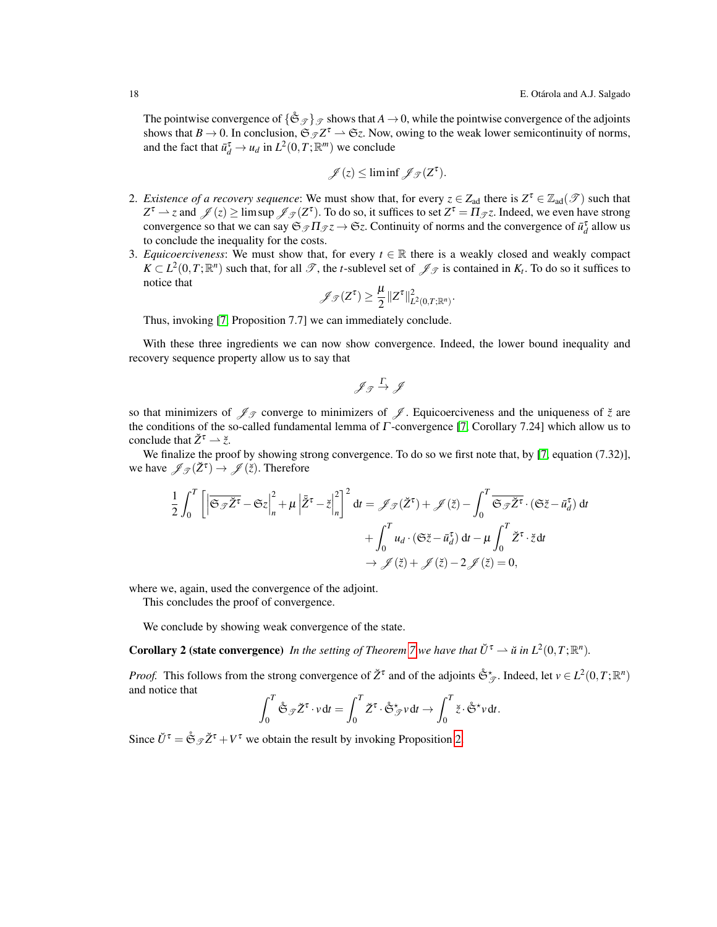The pointwise convergence of  $\{\check{\mathfrak{S}}_{\mathcal{F}}\}_{\mathcal{F}}$  shows that  $A \to 0$ , while the pointwise convergence of the adjoints shows that  $B \to 0$ . In conclusion,  $\mathfrak{S}_{\mathcal{J}}Z^{\tau} \to \mathfrak{S}_{Z}$ . Now, owing to the weak lower semicontinuity of norms, and the fact that  $\bar{u}_d^{\tau} \to u_d$  in  $L^2(0,T; \mathbb{R}^m)$  we conclude

$$
\mathscr{J}(z) \le \liminf \mathscr{J}_{\mathscr{T}}(Z^{\tau}).
$$

- 2. *Existence of a recovery sequence*: We must show that, for every  $z \in Z_{ad}$  there is  $Z^{\tau} \in \mathbb{Z}_{ad}(\mathscr{T})$  such that  $Z^{\tau} \to z$  and  $\mathscr{J}(z) \ge \limsup \mathscr{J}_{\mathscr{T}}(Z^{\tau})$ . To do so, it suffices to set  $Z^{\tau} = \Pi_{\mathscr{T}} z$ . Indeed, we even have strong convergence so that we can say  $\mathfrak{S}_{\mathcal{J}} \Pi_{\mathcal{J}} z \to \mathfrak{S} z$ . Continuity of norms and the convergence of  $\bar{u}_d^{\tau}$  allow us to conclude the inequality for the costs.
- 3. *Equicoerciveness*: We must show that, for every  $t \in \mathbb{R}$  there is a weakly closed and weakly compact  $K \subset L^2(0,T;\mathbb{R}^n)$  such that, for all  $\mathscr{T}$ , the *t*-sublevel set of  $\mathscr{J}_{\mathscr{T}}$  is contained in  $K_t$ . To do so it suffices to notice that

$$
\mathscr{J}_{\mathscr{T}}(Z^{\tau}) \geq \frac{\mu}{2} ||Z^{\tau}||_{L^2(0,T;\mathbb{R}^n)}^2.
$$

Thus, invoking [\[7,](#page-18-23) Proposition 7.7] we can immediately conclude.

With these three ingredients we can now show convergence. Indeed, the lower bound inequality and recovery sequence property allow us to say that

$$
\mathscr{J}_\mathscr{T} \xrightarrow{\Gamma} \mathscr{J}
$$

so that minimizers of  $\mathscr{J}_{\mathscr{T}}$  converge to minimizers of  $\mathscr{J}$ . Equicoerciveness and the uniqueness of  $\zeta$  are the conditions of the so-called fundamental lemma of Γ -convergence [\[7,](#page-18-23) Corollary 7.24] which allow us to conclude that  $\check{Z}^{\tau} \rightharpoonup \check{z}$ .

We finalize the proof by showing strong convergence. To do so we first note that, by [\[7,](#page-18-23) equation (7.32)], we have  $\mathscr{J}_{\mathscr{T}}(\check{Z}^{\tau}) \to \mathscr{J}(\check{z})$ . Therefore

$$
\frac{1}{2} \int_0^T \left[ \left| \overline{\mathfrak{S}_{\mathscr{T}} \mathcal{Z}^\tau} - \mathfrak{S}_{z} \right|_n^2 + \mu \left| \mathcal{\tilde{Z}}^\tau - \mathcal{Z} \right|_n^2 \right]^2 dt = \mathscr{J}_{\mathscr{T}}(\mathcal{Z}^\tau) + \mathscr{J}(\mathcal{Z}) - \int_0^T \overline{\mathfrak{S}_{\mathscr{T}} \mathcal{Z}^\tau} \cdot (\mathfrak{S}_{z}^\tau - \overline{u}_d^\tau) dt + \int_0^T u_d \cdot (\mathfrak{S}_{z}^\tau - \overline{u}_d^\tau) dt - \mu \int_0^T \mathcal{Z}^\tau \cdot \mathcal{Z} dt
$$

$$
\rightarrow \mathscr{J}(\mathcal{Z}) + \mathscr{J}(\mathcal{Z}) - 2 \mathscr{J}(\mathcal{Z}) = 0,
$$

where we, again, used the convergence of the adjoint.

This concludes the proof of convergence.

We conclude by showing weak convergence of the state.

**Corollary 2 (state convergence)** In the setting of Theorem [7](#page-16-0) we have that  $\check{U}^{\tau} \rightharpoonup \check{u}$  in  $L^2(0,T;\mathbb{R}^n)$ .

*Proof.* This follows from the strong convergence of  $\check{Z}^{\tau}$  and of the adjoints  $\check{\mathfrak{S}}_{\check{\mathcal{F}}}^{\star}$ . Indeed, let  $v \in L^2(0,T;\mathbb{R}^n)$ and notice that

$$
\int_0^T \mathring{\mathfrak{S}}_{\mathscr{T}} \mathring{Z}^\tau \cdot v \, \mathrm{d}t = \int_0^T \mathring{Z}^\tau \cdot \mathring{\mathfrak{S}}^*_{\mathscr{T}} v \, \mathrm{d}t \to \int_0^T \mathring{z} \cdot \mathring{\mathfrak{S}}^* v \, \mathrm{d}t.
$$

Since  $\check{U}^{\tau} = \overset{\circ}{S}{}_{\mathscr{T}} \check{Z}^{\tau} + V^{\tau}$  we obtain the result by invoking Proposition [2.](#page-14-1)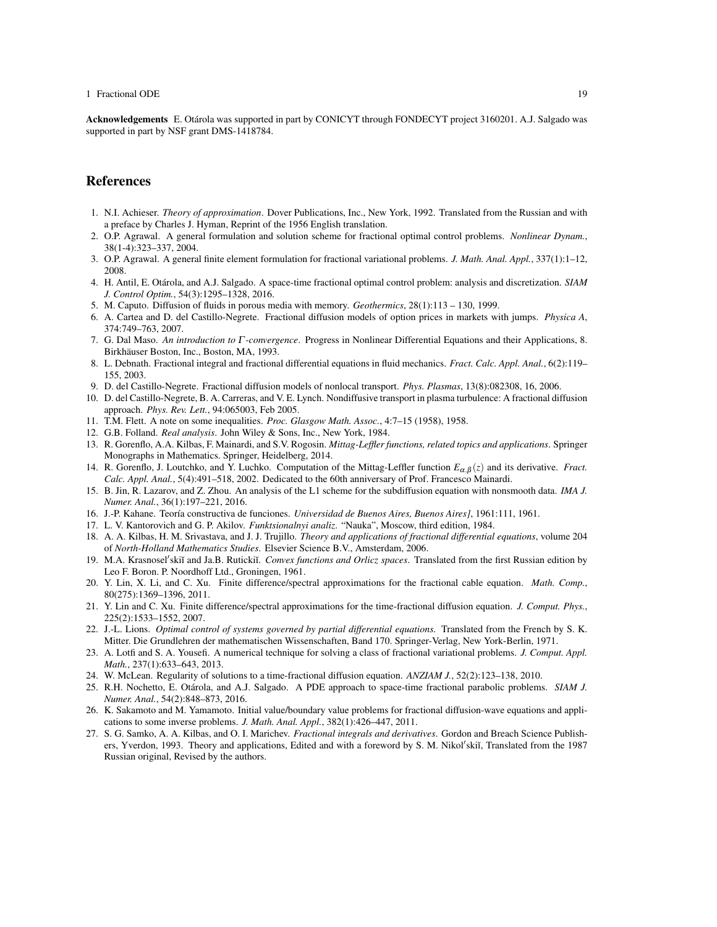Acknowledgements E. Otárola was supported in part by CONICYT through FONDECYT project 3160201. A.J. Salgado was supported in part by NSF grant DMS-1418784.

#### References

- <span id="page-18-17"></span>1. N.I. Achieser. *Theory of approximation*. Dover Publications, Inc., New York, 1992. Translated from the Russian and with a preface by Charles J. Hyman, Reprint of the 1956 English translation.
- <span id="page-18-8"></span>2. O.P. Agrawal. A general formulation and solution scheme for fractional optimal control problems. *Nonlinear Dynam.*, 38(1-4):323–337, 2004.
- <span id="page-18-9"></span>3. O.P. Agrawal. A general finite element formulation for fractional variational problems. *J. Math. Anal. Appl.*, 337(1):1–12, 2008.
- <span id="page-18-5"></span>4. H. Antil, E. Otárola, and A.J. Salgado. A space-time fractional optimal control problem: analysis and discretization. SIAM *J. Control Optim.*, 54(3):1295–1328, 2016.
- <span id="page-18-3"></span>5. M. Caputo. Diffusion of fluids in porous media with memory. *Geothermics*, 28(1):113 – 130, 1999.
- <span id="page-18-2"></span>6. A. Cartea and D. del Castillo-Negrete. Fractional diffusion models of option prices in markets with jumps. *Physica A*, 374:749–763, 2007.
- <span id="page-18-23"></span>7. G. Dal Maso. *An introduction to* Γ *-convergence*. Progress in Nonlinear Differential Equations and their Applications, 8. Birkhäuser Boston, Inc., Boston, MA, 1993.
- <span id="page-18-4"></span>8. L. Debnath. Fractional integral and fractional differential equations in fluid mechanics. *Fract. Calc. Appl. Anal.*, 6(2):119– 155, 2003.
- <span id="page-18-0"></span>9. D. del Castillo-Negrete. Fractional diffusion models of nonlocal transport. *Phys. Plasmas*, 13(8):082308, 16, 2006.
- <span id="page-18-1"></span>10. D. del Castillo-Negrete, B. A. Carreras, and V. E. Lynch. Nondiffusive transport in plasma turbulence: A fractional diffusion approach. *Phys. Rev. Lett.*, 94:065003, Feb 2005.
- <span id="page-18-11"></span>11. T.M. Flett. A note on some inequalities. *Proc. Glasgow Math. Assoc.*, 4:7–15 (1958), 1958.
- <span id="page-18-25"></span>12. G.B. Folland. *Real analysis*. John Wiley & Sons, Inc., New York, 1984.
- <span id="page-18-13"></span>13. R. Gorenflo, A.A. Kilbas, F. Mainardi, and S.V. Rogosin. *Mittag-Leffler functions, related topics and applications*. Springer Monographs in Mathematics. Springer, Heidelberg, 2014.
- <span id="page-18-22"></span>14. R. Gorenflo, J. Loutchko, and Y. Luchko. Computation of the Mittag-Leffler function  $E_{\alpha,\beta}(z)$  and its derivative. *Fract*. *Calc. Appl. Anal.*, 5(4):491–518, 2002. Dedicated to the 60th anniversary of Prof. Francesco Mainardi.
- <span id="page-18-19"></span>15. B. Jin, R. Lazarov, and Z. Zhou. An analysis of the L1 scheme for the subdiffusion equation with nonsmooth data. *IMA J. Numer. Anal.*, 36(1):197–221, 2016.
- <span id="page-18-18"></span>16. J.-P. Kahane. Teor´ıa constructiva de funciones. *Universidad de Buenos Aires, Buenos Aires]*, 1961:111, 1961.
- <span id="page-18-26"></span>17. L. V. Kantorovich and G. P. Akilov. *Funktsionalnyi analiz*. "Nauka", Moscow, third edition, 1984.
- <span id="page-18-6"></span>18. A. A. Kilbas, H. M. Srivastava, and J. J. Trujillo. *Theory and applications of fractional differential equations*, volume 204 of *North-Holland Mathematics Studies*. Elsevier Science B.V., Amsterdam, 2006.
- <span id="page-18-12"></span>19. M.A. Krasnosel'skiĭ and Ja.B. Rutickiĭ. *Convex functions and Orlicz spaces*. Translated from the first Russian edition by Leo F. Boron. P. Noordhoff Ltd., Groningen, 1961.
- <span id="page-18-20"></span>20. Y. Lin, X. Li, and C. Xu. Finite difference/spectral approximations for the fractional cable equation. *Math. Comp.*, 80(275):1369–1396, 2011.
- <span id="page-18-21"></span>21. Y. Lin and C. Xu. Finite difference/spectral approximations for the time-fractional diffusion equation. *J. Comput. Phys.*, 225(2):1533–1552, 2007.
- <span id="page-18-24"></span>22. J.-L. Lions. *Optimal control of systems governed by partial differential equations.* Translated from the French by S. K. Mitter. Die Grundlehren der mathematischen Wissenschaften, Band 170. Springer-Verlag, New York-Berlin, 1971.
- <span id="page-18-10"></span>23. A. Lotfi and S. A. Yousefi. A numerical technique for solving a class of fractional variational problems. *J. Comput. Appl. Math.*, 237(1):633–643, 2013.
- <span id="page-18-15"></span>24. W. McLean. Regularity of solutions to a time-fractional diffusion equation. *ANZIAM J.*, 52(2):123–138, 2010.
- <span id="page-18-14"></span>25. R.H. Nochetto, E. Otárola, and A.J. Salgado. A PDE approach to space-time fractional parabolic problems. *SIAM J. Numer. Anal.*, 54(2):848–873, 2016.
- <span id="page-18-16"></span>26. K. Sakamoto and M. Yamamoto. Initial value/boundary value problems for fractional diffusion-wave equations and applications to some inverse problems. *J. Math. Anal. Appl.*, 382(1):426–447, 2011.
- <span id="page-18-7"></span>27. S. G. Samko, A. A. Kilbas, and O. I. Marichev. *Fractional integrals and derivatives*. Gordon and Breach Science Publishers, Yverdon, 1993. Theory and applications, Edited and with a foreword by S. M. Nikol'skiĭ, Translated from the 1987 Russian original, Revised by the authors.